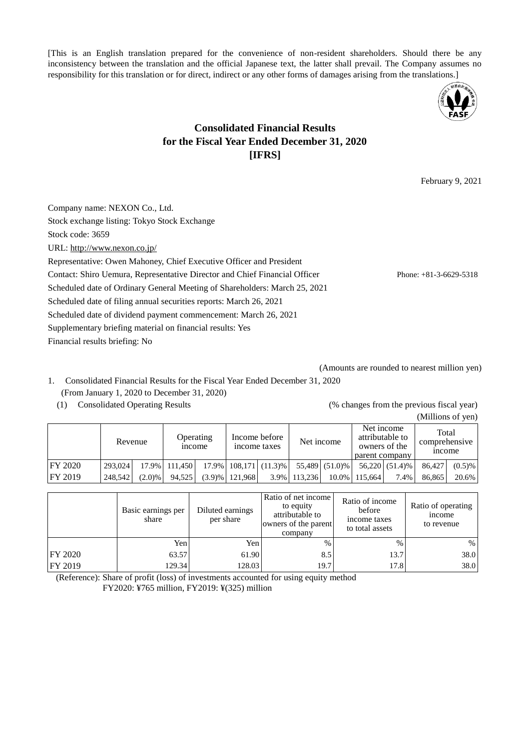[This is an English translation prepared for the convenience of non-resident shareholders. Should there be any inconsistency between the translation and the official Japanese text, the latter shall prevail. The Company assumes no responsibility for this translation or for direct, indirect or any other forms of damages arising from the translations.]



# **Consolidated Financial Results for the Fiscal Year Ended December 31, 2020 [IFRS]**

February 9, 2021

Company name: NEXON Co., Ltd. Stock exchange listing: Tokyo Stock Exchange Stock code: 3659 URL: http://www.nexon.co.jp/ Representative: Owen Mahoney, Chief Executive Officer and President Contact: Shiro Uemura, Representative Director and Chief Financial Officer Phone: +81-3-6629-5318 Scheduled date of Ordinary General Meeting of Shareholders: March 25, 2021 Scheduled date of filing annual securities reports: March 26, 2021 Scheduled date of dividend payment commencement: March 26, 2021 Supplementary briefing material on financial results: Yes Financial results briefing: No

(Amounts are rounded to nearest million yen)

- 1. Consolidated Financial Results for the Fiscal Year Ended December 31, 2020 (From January 1, 2020 to December 31, 2020)
	-

(1) Consolidated Operating Results (% changes from the previous fiscal year) (Millions of yen)

|                 | Revenue |        | <sub>1</sub> ncome | <b>Operating</b> |                     | Income before<br>income taxes | Net income   |                | attributable to<br>owners of the<br>parent company | Net income     | Total<br>comprehensive<br><sub>1</sub> ncome |           |
|-----------------|---------|--------|--------------------|------------------|---------------------|-------------------------------|--------------|----------------|----------------------------------------------------|----------------|----------------------------------------------|-----------|
| <b>IFY 2020</b> | 293.024 |        | 17.9% 111.450      |                  |                     | $17.9\%$   108,171   (11.3)%  |              | 55,489 (51.0)% |                                                    | 56.220 (51.4)% | 86.427                                       | $(0.5)\%$ |
| FY 2019         | 248,542 | (2.0)% | 94.525             |                  | $(3.9)$ %   121.968 |                               | 3.9% 113.236 |                | 10.0% 115.664                                      | 7.4%           | 86.865                                       | 20.6%     |

|                | Basic earnings per<br>share | Diluted earnings<br>per share | Ratio of net income<br>to equity<br>attributable to<br>owners of the parent<br>company | Ratio of income<br>before<br>income taxes<br>to total assets | Ratio of operating<br>income<br>to revenue |
|----------------|-----------------------------|-------------------------------|----------------------------------------------------------------------------------------|--------------------------------------------------------------|--------------------------------------------|
|                | Yen                         | Yen                           | $\%$                                                                                   | $\frac{0}{0}$                                                | $\%$                                       |
| <b>FY 2020</b> | 63.57                       | 61.90                         | 8.5                                                                                    | 13.7                                                         | 38.0                                       |
| <b>FY 2019</b> | 129.34                      | 128.03                        | 19.7                                                                                   | 17.8                                                         | 38.0                                       |

(Reference): Share of profit (loss) of investments accounted for using equity method FY2020: ¥765 million, FY2019: ¥(325) million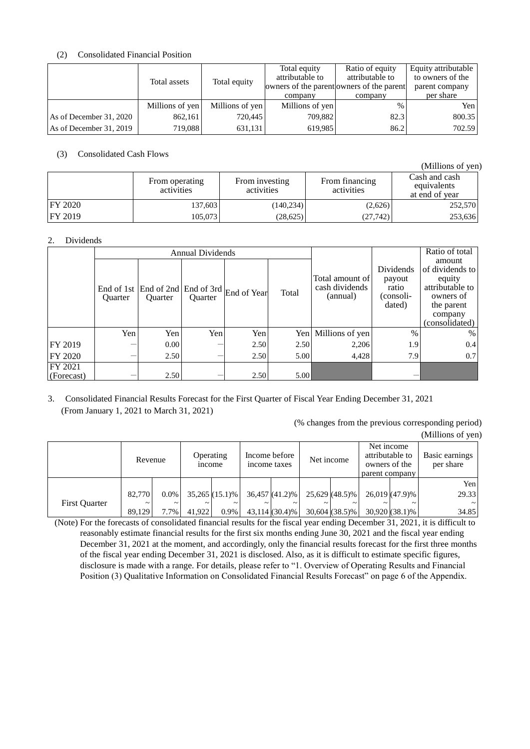# (2) Consolidated Financial Position

|                         |                 |                 | Total equity    | Ratio of equity                           | Equity attributable |
|-------------------------|-----------------|-----------------|-----------------|-------------------------------------------|---------------------|
|                         | Total assets    | Total equity    | attributable to | attributable to                           | to owners of the    |
|                         |                 |                 |                 | owners of the parent owners of the parent | parent company      |
|                         |                 |                 | company         | company                                   | per share           |
|                         | Millions of yen | Millions of yen | Millions of yen | $\%$                                      | Yen                 |
| As of December 31, 2020 | 862,161         | 720,445         | 709,882         | 82.3                                      | 800.35              |
| As of December 31, 2019 | 719,088         | 631,131         | 619,985         | 86.2                                      | 702.59              |

# (3) Consolidated Cash Flows

(Millions of yen)

|                 | From operating<br>activities | From investing<br>activities | From financing<br>activities | Cash and cash<br>equivalents<br>at end of year |
|-----------------|------------------------------|------------------------------|------------------------------|------------------------------------------------|
| <b>IFY 2020</b> | 137,603                      | (140, 234)                   | (2,626)                      | 252,570                                        |
| <b>FY 2019</b>  | 105.073                      | (28,625)                     | (27,742)                     | 253,636                                        |

# 2. Dividends

|                       |                |                | <b>Annual Dividends</b> |                                                                                              |       |                                               |                                                     | Ratio of total                                                                                                 |
|-----------------------|----------------|----------------|-------------------------|----------------------------------------------------------------------------------------------|-------|-----------------------------------------------|-----------------------------------------------------|----------------------------------------------------------------------------------------------------------------|
|                       | <b>Ouarter</b> | <b>Ouarter</b> | <b>Ouarter</b>          | End of 1st $\left  \text{End of 2nd} \right $ End of 3rd $\left  \text{End of Year} \right $ | Total | Total amount of<br>cash dividends<br>(annual) | Dividends<br>payout<br>ratio<br>(consoli-<br>dated) | amount<br>of dividends to<br>equity<br>attributable to<br>owners of<br>the parent<br>company<br>(consolidated) |
|                       | Yen            | Yen            | Yen                     | Yen                                                                                          | Yen   | Millions of yen                               | $\frac{0}{0}$                                       | $\%$                                                                                                           |
| FY 2019               |                | 0.00           |                         | 2.50                                                                                         | 2.50  | 2,206                                         | 1.9                                                 | 0.4                                                                                                            |
| FY 2020               |                | 2.50           |                         | 2.50                                                                                         | 5.00  | 4,428                                         | 7.9                                                 | 0.7                                                                                                            |
| FY 2021<br>(Forecast) |                | 2.50           |                         | 2.50                                                                                         | 5.00  |                                               |                                                     |                                                                                                                |

# 3. Consolidated Financial Results Forecast for the First Quarter of Fiscal Year Ending December 31, 2021 (From January 1, 2021 to March 31, 2021)

(% changes from the previous corresponding period) (Millions of yen)

|                      | Revenue    |                       | Operating<br><i>n</i> come |                       | Income before<br>income taxes |                  | Net income            |                  | Net income<br>attributable to<br>owners of the<br>parent company |                  | Basic earnings<br>per share |
|----------------------|------------|-----------------------|----------------------------|-----------------------|-------------------------------|------------------|-----------------------|------------------|------------------------------------------------------------------|------------------|-----------------------------|
|                      |            |                       |                            |                       |                               |                  |                       |                  |                                                                  |                  | Yen                         |
|                      | 82,770     | $0.0\%$               |                            | $35,265(15.1)\%$      |                               | $36,457(41.2)\%$ |                       | $25,629$ (48.5)% |                                                                  | 26,019 (47.9)%   | 29.33                       |
| <b>First Ouarter</b> | $\tilde{}$ | $\tilde{\phantom{a}}$ |                            | $\tilde{\phantom{a}}$ |                               |                  | $\tilde{\phantom{a}}$ |                  | $\tilde{}$                                                       |                  | $\sim$                      |
|                      | 89.129     | 7.7%                  | 41.922                     | 0.9%                  |                               | $43.114(30.4)\%$ |                       | $30,604(38.5)\%$ |                                                                  | $30,920(38.1)\%$ | 34.85                       |

(Note) For the forecasts of consolidated financial results for the fiscal year ending December 31, 2021, it is difficult to reasonably estimate financial results for the first six months ending June 30, 2021 and the fiscal year ending December 31, 2021 at the moment, and accordingly, only the financial results forecast for the first three months of the fiscal year ending December 31, 2021 is disclosed. Also, as it is difficult to estimate specific figures, disclosure is made with a range. For details, please refer to "1. Overview of Operating Results and Financial Position (3) Qualitative Information on Consolidated Financial Results Forecast" on page 6 of the Appendix.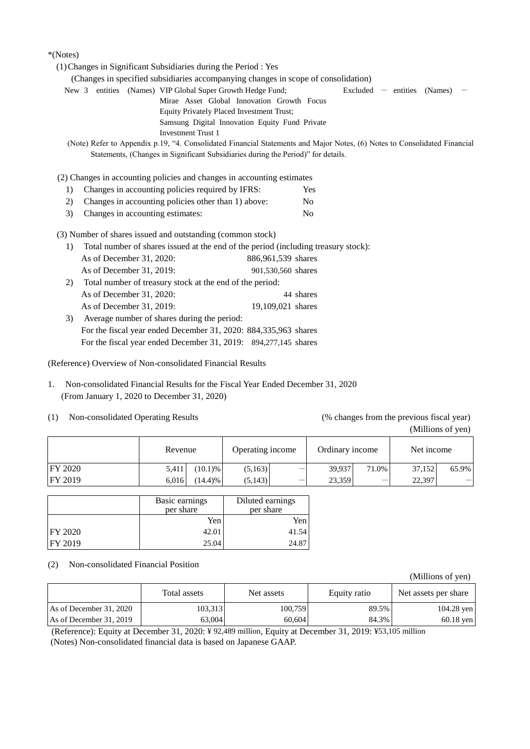## \*(Notes)

|    | (1) Changes in Significant Subsidiaries during the Period : Yes                                                           |                    |                                      |  |
|----|---------------------------------------------------------------------------------------------------------------------------|--------------------|--------------------------------------|--|
|    | (Changes in specified subsidiaries accompanying changes in scope of consolidation)                                        |                    |                                      |  |
|    | New 3 entities (Names) VIP Global Super Growth Hedge Fund;                                                                |                    | $\text{Excluded}$ - entities (Names) |  |
|    | Mirae Asset Global Innovation Growth Focus                                                                                |                    |                                      |  |
|    | <b>Equity Privately Placed Investment Trust;</b>                                                                          |                    |                                      |  |
|    | Samsung Digital Innovation Equity Fund Private                                                                            |                    |                                      |  |
|    | <b>Investment Trust 1</b>                                                                                                 |                    |                                      |  |
|    | (Note) Refer to Appendix p.19, "4. Consolidated Financial Statements and Major Notes, (6) Notes to Consolidated Financial |                    |                                      |  |
|    | Statements, (Changes in Significant Subsidiaries during the Period)" for details.                                         |                    |                                      |  |
|    |                                                                                                                           |                    |                                      |  |
|    | (2) Changes in accounting policies and changes in accounting estimates                                                    |                    |                                      |  |
| 1) | Changes in accounting policies required by IFRS:                                                                          | Yes                |                                      |  |
| 2) | Changes in accounting policies other than 1) above:                                                                       | N <sub>0</sub>     |                                      |  |
| 3) | Changes in accounting estimates:                                                                                          | N <sub>0</sub>     |                                      |  |
|    | (3) Number of shares issued and outstanding (common stock)                                                                |                    |                                      |  |
| 1) | Total number of shares issued at the end of the period (including treasury stock):                                        |                    |                                      |  |
|    | As of December 31, 2020:                                                                                                  | 886,961,539 shares |                                      |  |
|    | As of December 31, 2019:                                                                                                  | 901,530,560 shares |                                      |  |
| 2) | Total number of treasury stock at the end of the period:                                                                  |                    |                                      |  |
|    |                                                                                                                           |                    |                                      |  |
|    | As of December 31, 2020:                                                                                                  | 44 shares          |                                      |  |
|    | As of December 31, 2019:                                                                                                  | 19,109,021 shares  |                                      |  |
| 3) | Average number of shares during the period:                                                                               |                    |                                      |  |
|    | For the fiscal year ended December 31, 2020: 884, 335, 963 shares                                                         |                    |                                      |  |
|    |                                                                                                                           |                    |                                      |  |

For the fiscal year ended December 31, 2019: 894,277,145 shares

(Reference) Overview of Non-consolidated Financial Results

- 1. Non-consolidated Financial Results for the Fiscal Year Ended December 31, 2020 (From January 1, 2020 to December 31, 2020)
- (1) Non-consolidated Operating Results (% changes from the previous fiscal year)

(Millions of yen)

|                | Revenue |             | Operating income |   | Ordinary income |       | Net income |       |
|----------------|---------|-------------|------------------|---|-----------------|-------|------------|-------|
| <b>FY 2020</b> | 5,411   | $(10.1) \%$ | (5,163)          | - | 39,937          | 71.0% | 37,152     | 65.9% |
| FY 2019        | 6.016   | (14.4)%     | (5,143)          |   | 23,359          |       | 22,397     | —     |

|                 | Basic earnings<br>per share | Diluted earnings<br>per share |
|-----------------|-----------------------------|-------------------------------|
|                 | Yen                         | Yen                           |
| <b>IFY 2020</b> | 42.01                       | 41.54                         |
| <b>FY 2019</b>  | 25.04                       | 24.87                         |

(2) Non-consolidated Financial Position

|                         | Total assets | Net assets | Equity ratio | Net assets per share |
|-------------------------|--------------|------------|--------------|----------------------|
| As of December 31, 2020 | 103,313      | 100.759    | 89.5%        | $104.28$ yen         |
| As of December 31, 2019 | 63,004       | 60.604     | 84.3%        | $60.18$ yen          |

(Reference): Equity at December 31, 2020: ¥ 92,489 million, Equity at December 31, 2019: ¥53,105 million (Notes) Non-consolidated financial data is based on Japanese GAAP.

(Millions of yen)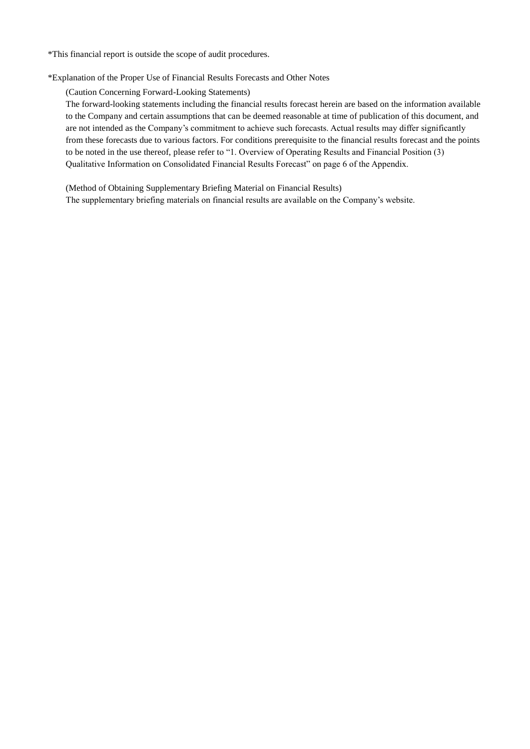\*This financial report is outside the scope of audit procedures.

\*Explanation of the Proper Use of Financial Results Forecasts and Other Notes

(Caution Concerning Forward-Looking Statements)

The forward-looking statements including the financial results forecast herein are based on the information available to the Company and certain assumptions that can be deemed reasonable at time of publication of this document, and are not intended as the Company's commitment to achieve such forecasts. Actual results may differ significantly from these forecasts due to various factors. For conditions prerequisite to the financial results forecast and the points to be noted in the use thereof, please refer to "1. Overview of Operating Results and Financial Position (3) Qualitative Information on Consolidated Financial Results Forecast" on page 6 of the Appendix.

(Method of Obtaining Supplementary Briefing Material on Financial Results) The supplementary briefing materials on financial results are available on the Company's website.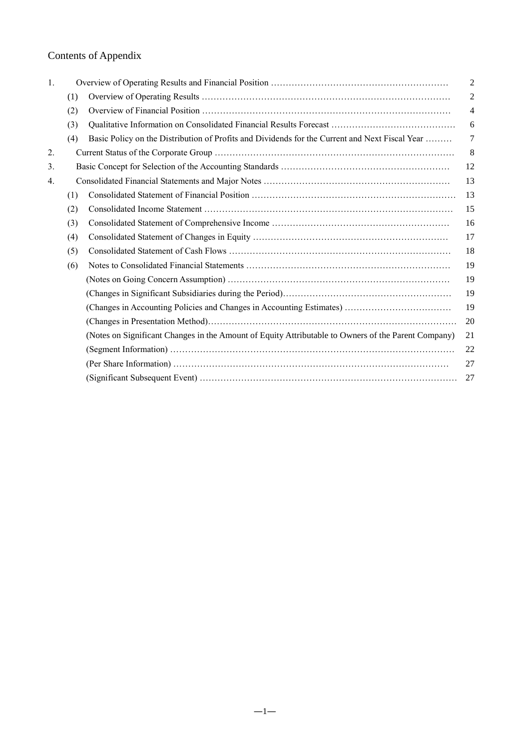# Contents of Appendix

| 1. |     |                                                                                                     | $\overline{c}$ |
|----|-----|-----------------------------------------------------------------------------------------------------|----------------|
|    | (1) |                                                                                                     | $\overline{c}$ |
|    | (2) |                                                                                                     | $\overline{4}$ |
|    | (3) |                                                                                                     | 6              |
|    | (4) | Basic Policy on the Distribution of Profits and Dividends for the Current and Next Fiscal Year      | 7              |
| 2. |     |                                                                                                     | 8              |
| 3. |     |                                                                                                     | 12             |
| 4. |     |                                                                                                     | 13             |
|    | (1) |                                                                                                     | 13             |
|    | (2) |                                                                                                     | 15             |
|    | (3) |                                                                                                     | 16             |
|    | (4) |                                                                                                     | 17             |
|    | (5) |                                                                                                     | 18             |
|    | (6) |                                                                                                     | 19             |
|    |     |                                                                                                     | 19             |
|    |     |                                                                                                     | 19             |
|    |     |                                                                                                     | 19             |
|    |     |                                                                                                     | 20             |
|    |     | (Notes on Significant Changes in the Amount of Equity Attributable to Owners of the Parent Company) | 21             |
|    |     |                                                                                                     | 22             |
|    |     |                                                                                                     | 27             |
|    |     |                                                                                                     | 27             |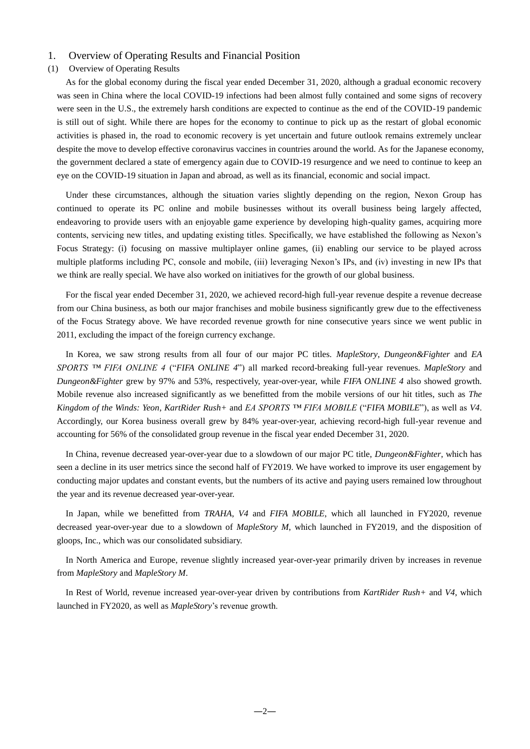# 1. Overview of Operating Results and Financial Position

#### (1) Overview of Operating Results

As for the global economy during the fiscal year ended December 31, 2020, although a gradual economic recovery was seen in China where the local COVID-19 infections had been almost fully contained and some signs of recovery were seen in the U.S., the extremely harsh conditions are expected to continue as the end of the COVID-19 pandemic is still out of sight. While there are hopes for the economy to continue to pick up as the restart of global economic activities is phased in, the road to economic recovery is yet uncertain and future outlook remains extremely unclear despite the move to develop effective coronavirus vaccines in countries around the world. As for the Japanese economy, the government declared a state of emergency again due to COVID-19 resurgence and we need to continue to keep an eye on the COVID-19 situation in Japan and abroad, as well as its financial, economic and social impact.

Under these circumstances, although the situation varies slightly depending on the region, Nexon Group has continued to operate its PC online and mobile businesses without its overall business being largely affected, endeavoring to provide users with an enjoyable game experience by developing high-quality games, acquiring more contents, servicing new titles, and updating existing titles. Specifically, we have established the following as Nexon's Focus Strategy: (i) focusing on massive multiplayer online games, (ii) enabling our service to be played across multiple platforms including PC, console and mobile, (iii) leveraging Nexon's IPs, and (iv) investing in new IPs that we think are really special. We have also worked on initiatives for the growth of our global business.

For the fiscal year ended December 31, 2020, we achieved record-high full-year revenue despite a revenue decrease from our China business, as both our major franchises and mobile business significantly grew due to the effectiveness of the Focus Strategy above. We have recorded revenue growth for nine consecutive years since we went public in 2011, excluding the impact of the foreign currency exchange.

In Korea, we saw strong results from all four of our major PC titles. *MapleStory*, *Dungeon&Fighter* and *EA SPORTS ™ FIFA ONLINE 4* ("*FIFA ONLINE 4*") all marked record-breaking full-year revenues. *MapleStory* and *Dungeon&Fighter* grew by 97% and 53%, respectively, year-over-year, while *FIFA ONLINE 4* also showed growth. Mobile revenue also increased significantly as we benefitted from the mobile versions of our hit titles, such as *The Kingdom of the Winds: Yeon*, *KartRider Rush+* and *EA SPORTS ™ FIFA MOBILE* ("*FIFA MOBILE*"), as well as *V4*. Accordingly, our Korea business overall grew by 84% year-over-year, achieving record-high full-year revenue and accounting for 56% of the consolidated group revenue in the fiscal year ended December 31, 2020.

In China, revenue decreased year-over-year due to a slowdown of our major PC title, *Dungeon&Fighter*, which has seen a decline in its user metrics since the second half of FY2019. We have worked to improve its user engagement by conducting major updates and constant events, but the numbers of its active and paying users remained low throughout the year and its revenue decreased year-over-year.

In Japan, while we benefitted from *TRAHA*, *V4* and *FIFA MOBILE*, which all launched in FY2020, revenue decreased year-over-year due to a slowdown of *MapleStory M*, which launched in FY2019, and the disposition of gloops, Inc., which was our consolidated subsidiary.

In North America and Europe, revenue slightly increased year-over-year primarily driven by increases in revenue from *MapleStory* and *MapleStory M*.

In Rest of World, revenue increased year-over-year driven by contributions from *KartRider Rush+* and *V4*, which launched in FY2020, as well as *MapleStory*'s revenue growth.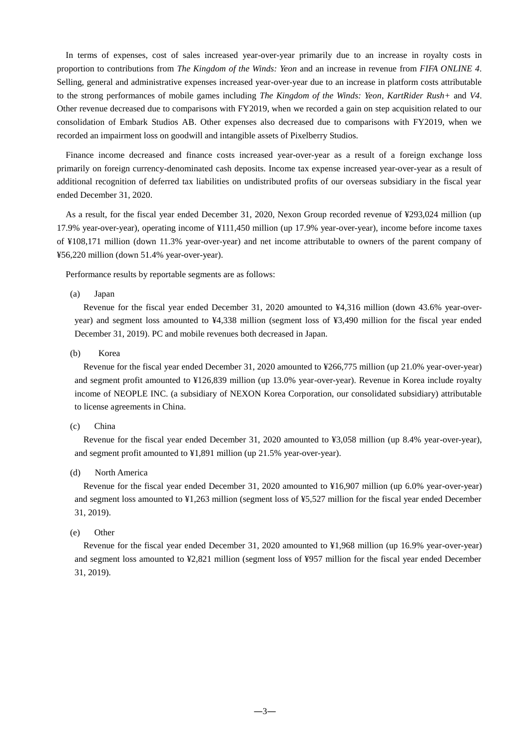In terms of expenses, cost of sales increased year-over-year primarily due to an increase in royalty costs in proportion to contributions from *The Kingdom of the Winds: Yeon* and an increase in revenue from *FIFA ONLINE 4*. Selling, general and administrative expenses increased year-over-year due to an increase in platform costs attributable to the strong performances of mobile games including *The Kingdom of the Winds: Yeon*, *KartRider Rush+* and *V4*. Other revenue decreased due to comparisons with FY2019, when we recorded a gain on step acquisition related to our consolidation of Embark Studios AB. Other expenses also decreased due to comparisons with FY2019, when we recorded an impairment loss on goodwill and intangible assets of Pixelberry Studios.

Finance income decreased and finance costs increased year-over-year as a result of a foreign exchange loss primarily on foreign currency-denominated cash deposits. Income tax expense increased year-over-year as a result of additional recognition of deferred tax liabilities on undistributed profits of our overseas subsidiary in the fiscal year ended December 31, 2020.

As a result, for the fiscal year ended December 31, 2020, Nexon Group recorded revenue of ¥293,024 million (up 17.9% year-over-year), operating income of ¥111,450 million (up 17.9% year-over-year), income before income taxes of ¥108,171 million (down 11.3% year-over-year) and net income attributable to owners of the parent company of ¥56,220 million (down 51.4% year-over-year).

Performance results by reportable segments are as follows:

(a) Japan

Revenue for the fiscal year ended December 31, 2020 amounted to ¥4,316 million (down 43.6% year-overyear) and segment loss amounted to ¥4,338 million (segment loss of ¥3,490 million for the fiscal year ended December 31, 2019). PC and mobile revenues both decreased in Japan.

(b) Korea

Revenue for the fiscal year ended December 31, 2020 amounted to ¥266,775 million (up 21.0% year-over-year) and segment profit amounted to ¥126,839 million (up 13.0% year-over-year). Revenue in Korea include royalty income of NEOPLE INC. (a subsidiary of NEXON Korea Corporation, our consolidated subsidiary) attributable to license agreements in China.

(c) China

Revenue for the fiscal year ended December 31, 2020 amounted to ¥3,058 million (up 8.4% year-over-year), and segment profit amounted to ¥1,891 million (up 21.5% year-over-year).

(d) North America

Revenue for the fiscal year ended December 31, 2020 amounted to ¥16,907 million (up 6.0% year-over-year) and segment loss amounted to ¥1,263 million (segment loss of ¥5,527 million for the fiscal year ended December 31, 2019).

#### (e) Other

Revenue for the fiscal year ended December 31, 2020 amounted to ¥1,968 million (up 16.9% year-over-year) and segment loss amounted to ¥2,821 million (segment loss of ¥957 million for the fiscal year ended December 31, 2019).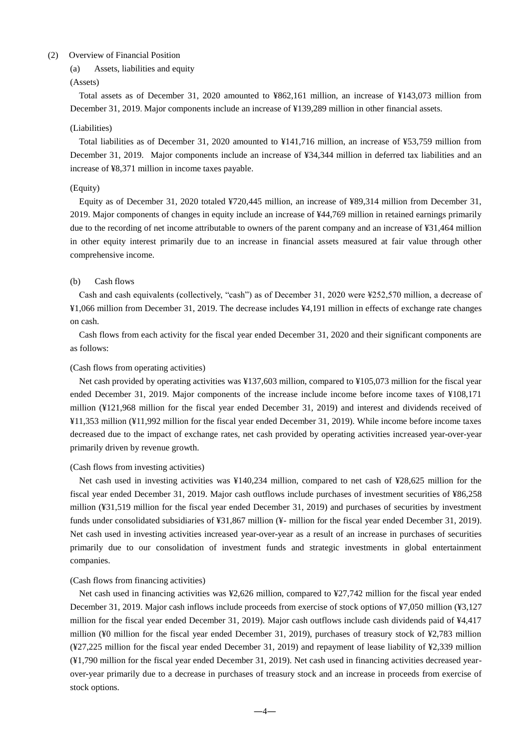## (2) Overview of Financial Position

(a) Assets, liabilities and equity

#### (Assets)

Total assets as of December 31, 2020 amounted to ¥862,161 million, an increase of ¥143,073 million from December 31, 2019. Major components include an increase of ¥139,289 million in other financial assets.

#### (Liabilities)

Total liabilities as of December 31, 2020 amounted to ¥141,716 million, an increase of ¥53,759 million from December 31, 2019. Major components include an increase of ¥34,344 million in deferred tax liabilities and an increase of ¥8,371 million in income taxes payable.

#### (Equity)

Equity as of December 31, 2020 totaled ¥720,445 million, an increase of ¥89,314 million from December 31, 2019. Major components of changes in equity include an increase of ¥44,769 million in retained earnings primarily due to the recording of net income attributable to owners of the parent company and an increase of ¥31,464 million in other equity interest primarily due to an increase in financial assets measured at fair value through other comprehensive income.

#### (b) Cash flows

Cash and cash equivalents (collectively, "cash") as of December 31, 2020 were ¥252,570 million, a decrease of ¥1,066 million from December 31, 2019. The decrease includes ¥4,191 million in effects of exchange rate changes on cash.

Cash flows from each activity for the fiscal year ended December 31, 2020 and their significant components are as follows:

#### (Cash flows from operating activities)

Net cash provided by operating activities was ¥137,603 million, compared to ¥105,073 million for the fiscal year ended December 31, 2019. Major components of the increase include income before income taxes of ¥108,171 million (¥121,968 million for the fiscal year ended December 31, 2019) and interest and dividends received of ¥11,353 million (¥11,992 million for the fiscal year ended December 31, 2019). While income before income taxes decreased due to the impact of exchange rates, net cash provided by operating activities increased year-over-year primarily driven by revenue growth.

#### (Cash flows from investing activities)

Net cash used in investing activities was ¥140,234 million, compared to net cash of ¥28,625 million for the fiscal year ended December 31, 2019. Major cash outflows include purchases of investment securities of ¥86,258 million (¥31,519 million for the fiscal year ended December 31, 2019) and purchases of securities by investment funds under consolidated subsidiaries of ¥31,867 million (¥- million for the fiscal year ended December 31, 2019). Net cash used in investing activities increased year-over-year as a result of an increase in purchases of securities primarily due to our consolidation of investment funds and strategic investments in global entertainment companies.

#### (Cash flows from financing activities)

Net cash used in financing activities was ¥2,626 million, compared to ¥27,742 million for the fiscal year ended December 31, 2019. Major cash inflows include proceeds from exercise of stock options of ¥7,050 million (¥3,127 million for the fiscal year ended December 31, 2019). Major cash outflows include cash dividends paid of ¥4,417 million (¥0 million for the fiscal year ended December 31, 2019), purchases of treasury stock of ¥2,783 million (¥27,225 million for the fiscal year ended December 31, 2019) and repayment of lease liability of ¥2,339 million (¥1,790 million for the fiscal year ended December 31, 2019). Net cash used in financing activities decreased yearover-year primarily due to a decrease in purchases of treasury stock and an increase in proceeds from exercise of stock options.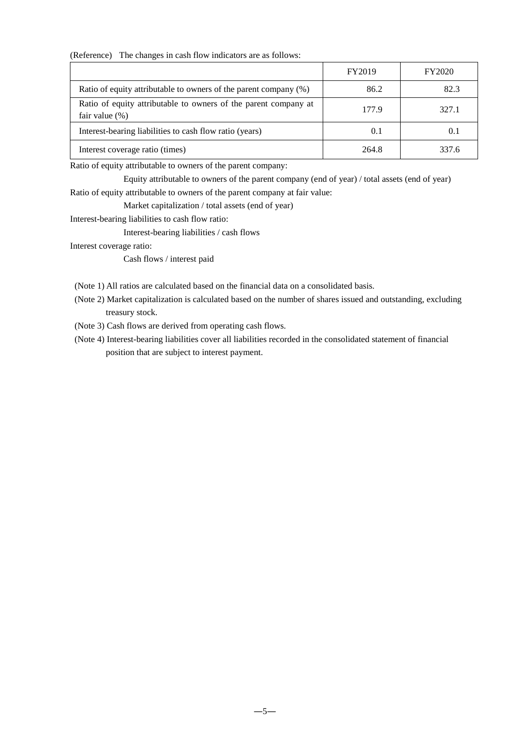(Reference) The changes in cash flow indicators are as follows:

|                                                                                      | FY2019 | FY2020 |
|--------------------------------------------------------------------------------------|--------|--------|
| Ratio of equity attributable to owners of the parent company (%)                     | 86.2   | 82.3   |
| Ratio of equity attributable to owners of the parent company at<br>fair value $(\%)$ | 177.9  | 327.1  |
| Interest-bearing liabilities to cash flow ratio (years)                              | 0.1    | (0,1)  |
| Interest coverage ratio (times)                                                      | 264.8  | 337.6  |

Ratio of equity attributable to owners of the parent company:

Equity attributable to owners of the parent company (end of year) / total assets (end of year) Ratio of equity attributable to owners of the parent company at fair value:

Market capitalization / total assets (end of year)

Interest-bearing liabilities to cash flow ratio:

Interest-bearing liabilities / cash flows

Interest coverage ratio:

Cash flows / interest paid

(Note 1) All ratios are calculated based on the financial data on a consolidated basis.

- (Note 2) Market capitalization is calculated based on the number of shares issued and outstanding, excluding treasury stock.
- (Note 3) Cash flows are derived from operating cash flows.
- (Note 4) Interest-bearing liabilities cover all liabilities recorded in the consolidated statement of financial position that are subject to interest payment.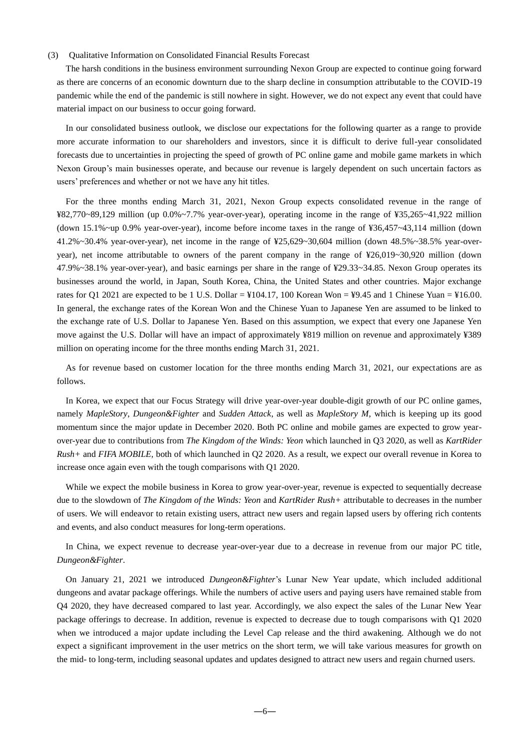#### (3) Qualitative Information on Consolidated Financial Results Forecast

The harsh conditions in the business environment surrounding Nexon Group are expected to continue going forward as there are concerns of an economic downturn due to the sharp decline in consumption attributable to the COVID-19 pandemic while the end of the pandemic is still nowhere in sight. However, we do not expect any event that could have material impact on our business to occur going forward.

In our consolidated business outlook, we disclose our expectations for the following quarter as a range to provide more accurate information to our shareholders and investors, since it is difficult to derive full-year consolidated forecasts due to uncertainties in projecting the speed of growth of PC online game and mobile game markets in which Nexon Group's main businesses operate, and because our revenue is largely dependent on such uncertain factors as users' preferences and whether or not we have any hit titles.

For the three months ending March 31, 2021, Nexon Group expects consolidated revenue in the range of ¥82,770~89,129 million (up 0.0%~7.7% year-over-year), operating income in the range of ¥35,265~41,922 million (down 15.1%~up 0.9% year-over-year), income before income taxes in the range of ¥36,457~43,114 million (down 41.2%~30.4% year-over-year), net income in the range of ¥25,629~30,604 million (down 48.5%~38.5% year-overyear), net income attributable to owners of the parent company in the range of ¥26,019~30,920 million (down 47.9%~38.1% year-over-year), and basic earnings per share in the range of ¥29.33~34.85. Nexon Group operates its businesses around the world, in Japan, South Korea, China, the United States and other countries. Major exchange rates for Q1 2021 are expected to be 1 U.S. Dollar =  $\frac{104.17}{100}$  Korean Won = ¥9.45 and 1 Chinese Yuan = ¥16.00. In general, the exchange rates of the Korean Won and the Chinese Yuan to Japanese Yen are assumed to be linked to the exchange rate of U.S. Dollar to Japanese Yen. Based on this assumption, we expect that every one Japanese Yen move against the U.S. Dollar will have an impact of approximately ¥819 million on revenue and approximately ¥389 million on operating income for the three months ending March 31, 2021.

As for revenue based on customer location for the three months ending March 31, 2021, our expectations are as follows.

In Korea, we expect that our Focus Strategy will drive year-over-year double-digit growth of our PC online games, namely *MapleStory*, *Dungeon&Fighter* and *Sudden Attack*, as well as *MapleStory M*, which is keeping up its good momentum since the major update in December 2020. Both PC online and mobile games are expected to grow yearover-year due to contributions from *The Kingdom of the Winds: Yeon* which launched in Q3 2020, as well as *KartRider Rush+* and *FIFA MOBILE*, both of which launched in Q2 2020. As a result, we expect our overall revenue in Korea to increase once again even with the tough comparisons with Q1 2020.

While we expect the mobile business in Korea to grow year-over-year, revenue is expected to sequentially decrease due to the slowdown of *The Kingdom of the Winds: Yeon* and *KartRider Rush+* attributable to decreases in the number of users. We will endeavor to retain existing users, attract new users and regain lapsed users by offering rich contents and events, and also conduct measures for long-term operations.

In China, we expect revenue to decrease year-over-year due to a decrease in revenue from our major PC title, *Dungeon&Fighter*.

On January 21, 2021 we introduced *Dungeon&Fighter*'s Lunar New Year update, which included additional dungeons and avatar package offerings. While the numbers of active users and paying users have remained stable from Q4 2020, they have decreased compared to last year. Accordingly, we also expect the sales of the Lunar New Year package offerings to decrease. In addition, revenue is expected to decrease due to tough comparisons with Q1 2020 when we introduced a major update including the Level Cap release and the third awakening. Although we do not expect a significant improvement in the user metrics on the short term, we will take various measures for growth on the mid- to long-term, including seasonal updates and updates designed to attract new users and regain churned users.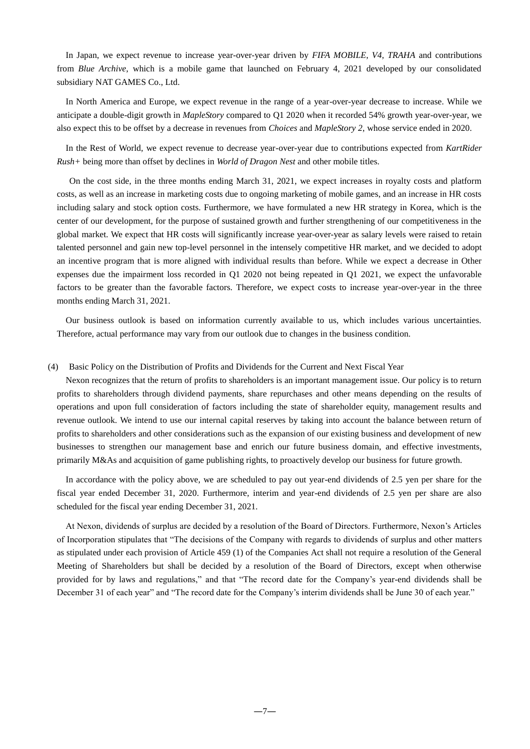In Japan, we expect revenue to increase year-over-year driven by *FIFA MOBILE*, *V4*, *TRAHA* and contributions from *Blue Archive*, which is a mobile game that launched on February 4, 2021 developed by our consolidated subsidiary NAT GAMES Co., Ltd.

In North America and Europe, we expect revenue in the range of a year-over-year decrease to increase. While we anticipate a double-digit growth in *MapleStory* compared to Q1 2020 when it recorded 54% growth year-over-year, we also expect this to be offset by a decrease in revenues from *Choices* and *MapleStory 2*, whose service ended in 2020.

In the Rest of World, we expect revenue to decrease year-over-year due to contributions expected from *KartRider Rush+* being more than offset by declines in *World of Dragon Nest* and other mobile titles.

On the cost side, in the three months ending March 31, 2021, we expect increases in royalty costs and platform costs, as well as an increase in marketing costs due to ongoing marketing of mobile games, and an increase in HR costs including salary and stock option costs. Furthermore, we have formulated a new HR strategy in Korea, which is the center of our development, for the purpose of sustained growth and further strengthening of our competitiveness in the global market. We expect that HR costs will significantly increase year-over-year as salary levels were raised to retain talented personnel and gain new top-level personnel in the intensely competitive HR market, and we decided to adopt an incentive program that is more aligned with individual results than before. While we expect a decrease in Other expenses due the impairment loss recorded in Q1 2020 not being repeated in Q1 2021, we expect the unfavorable factors to be greater than the favorable factors. Therefore, we expect costs to increase year-over-year in the three months ending March 31, 2021.

Our business outlook is based on information currently available to us, which includes various uncertainties. Therefore, actual performance may vary from our outlook due to changes in the business condition.

#### (4) Basic Policy on the Distribution of Profits and Dividends for the Current and Next Fiscal Year

Nexon recognizes that the return of profits to shareholders is an important management issue. Our policy is to return profits to shareholders through dividend payments, share repurchases and other means depending on the results of operations and upon full consideration of factors including the state of shareholder equity, management results and revenue outlook. We intend to use our internal capital reserves by taking into account the balance between return of profits to shareholders and other considerations such as the expansion of our existing business and development of new businesses to strengthen our management base and enrich our future business domain, and effective investments, primarily M&As and acquisition of game publishing rights, to proactively develop our business for future growth.

In accordance with the policy above, we are scheduled to pay out year-end dividends of 2.5 yen per share for the fiscal year ended December 31, 2020. Furthermore, interim and year-end dividends of 2.5 yen per share are also scheduled for the fiscal year ending December 31, 2021.

At Nexon, dividends of surplus are decided by a resolution of the Board of Directors. Furthermore, Nexon's Articles of Incorporation stipulates that "The decisions of the Company with regards to dividends of surplus and other matters as stipulated under each provision of Article 459 (1) of the Companies Act shall not require a resolution of the General Meeting of Shareholders but shall be decided by a resolution of the Board of Directors, except when otherwise provided for by laws and regulations," and that "The record date for the Company's year-end dividends shall be December 31 of each year" and "The record date for the Company's interim dividends shall be June 30 of each year."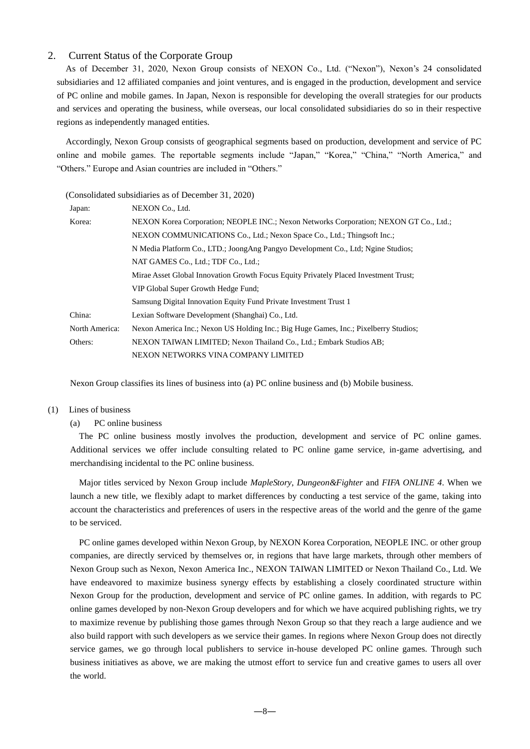# 2. Current Status of the Corporate Group

As of December 31, 2020, Nexon Group consists of NEXON Co., Ltd. ("Nexon"), Nexon's 24 consolidated subsidiaries and 12 affiliated companies and joint ventures, and is engaged in the production, development and service of PC online and mobile games. In Japan, Nexon is responsible for developing the overall strategies for our products and services and operating the business, while overseas, our local consolidated subsidiaries do so in their respective regions as independently managed entities.

Accordingly, Nexon Group consists of geographical segments based on production, development and service of PC online and mobile games. The reportable segments include "Japan," "Korea," "China," "North America," and "Others." Europe and Asian countries are included in "Others."

#### (Consolidated subsidiaries as of December 31, 2020)

| Japan:         | NEXON Co., Ltd.                                                                       |  |  |  |  |  |  |
|----------------|---------------------------------------------------------------------------------------|--|--|--|--|--|--|
| Korea:         | NEXON Korea Corporation; NEOPLE INC.; Nexon Networks Corporation; NEXON GT Co., Ltd.; |  |  |  |  |  |  |
|                | NEXON COMMUNICATIONS Co., Ltd.; Nexon Space Co., Ltd.; Thingsoft Inc.;                |  |  |  |  |  |  |
|                | N Media Platform Co., LTD.; JoongAng Pangyo Development Co., Ltd; Ngine Studios;      |  |  |  |  |  |  |
|                | NAT GAMES Co., Ltd.; TDF Co., Ltd.;                                                   |  |  |  |  |  |  |
|                | Mirae Asset Global Innovation Growth Focus Equity Privately Placed Investment Trust;  |  |  |  |  |  |  |
|                | VIP Global Super Growth Hedge Fund:                                                   |  |  |  |  |  |  |
|                | Samsung Digital Innovation Equity Fund Private Investment Trust 1                     |  |  |  |  |  |  |
| China:         | Lexian Software Development (Shanghai) Co., Ltd.                                      |  |  |  |  |  |  |
| North America: | Nexon America Inc.; Nexon US Holding Inc.; Big Huge Games, Inc.; Pixelberry Studios;  |  |  |  |  |  |  |
| Others:        | NEXON TAIWAN LIMITED; Nexon Thailand Co., Ltd.; Embark Studios AB;                    |  |  |  |  |  |  |
|                | NEXON NETWORKS VINA COMPANY LIMITED                                                   |  |  |  |  |  |  |
|                |                                                                                       |  |  |  |  |  |  |

Nexon Group classifies its lines of business into (a) PC online business and (b) Mobile business.

#### (1) Lines of business

#### (a) PC online business

The PC online business mostly involves the production, development and service of PC online games. Additional services we offer include consulting related to PC online game service, in-game advertising, and merchandising incidental to the PC online business.

Major titles serviced by Nexon Group include *MapleStory*, *Dungeon&Fighter* and *FIFA ONLINE 4*. When we launch a new title, we flexibly adapt to market differences by conducting a test service of the game, taking into account the characteristics and preferences of users in the respective areas of the world and the genre of the game to be serviced.

PC online games developed within Nexon Group, by NEXON Korea Corporation, NEOPLE INC. or other group companies, are directly serviced by themselves or, in regions that have large markets, through other members of Nexon Group such as Nexon, Nexon America Inc., NEXON TAIWAN LIMITED or Nexon Thailand Co., Ltd. We have endeavored to maximize business synergy effects by establishing a closely coordinated structure within Nexon Group for the production, development and service of PC online games. In addition, with regards to PC online games developed by non-Nexon Group developers and for which we have acquired publishing rights, we try to maximize revenue by publishing those games through Nexon Group so that they reach a large audience and we also build rapport with such developers as we service their games. In regions where Nexon Group does not directly service games, we go through local publishers to service in-house developed PC online games. Through such business initiatives as above, we are making the utmost effort to service fun and creative games to users all over the world.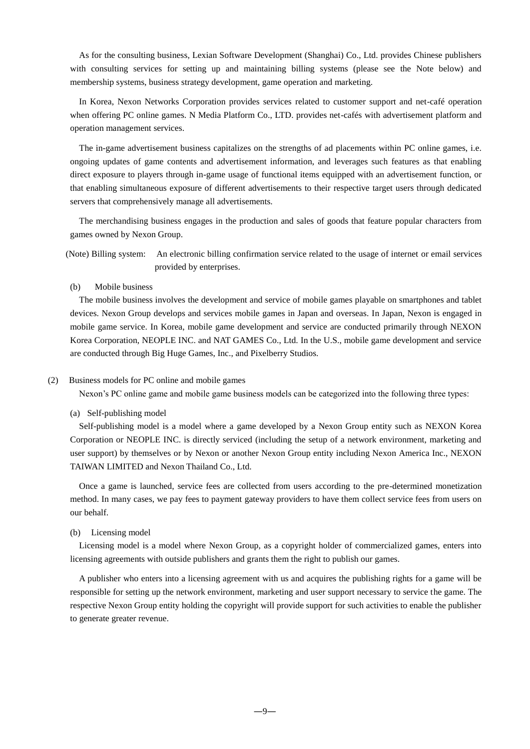As for the consulting business, Lexian Software Development (Shanghai) Co., Ltd. provides Chinese publishers with consulting services for setting up and maintaining billing systems (please see the Note below) and membership systems, business strategy development, game operation and marketing.

In Korea, Nexon Networks Corporation provides services related to customer support and net-café operation when offering PC online games. N Media Platform Co., LTD. provides net-cafés with advertisement platform and operation management services.

The in-game advertisement business capitalizes on the strengths of ad placements within PC online games, i.e. ongoing updates of game contents and advertisement information, and leverages such features as that enabling direct exposure to players through in-game usage of functional items equipped with an advertisement function, or that enabling simultaneous exposure of different advertisements to their respective target users through dedicated servers that comprehensively manage all advertisements.

The merchandising business engages in the production and sales of goods that feature popular characters from games owned by Nexon Group.

(Note) Billing system: An electronic billing confirmation service related to the usage of internet or email services provided by enterprises.

(b) Mobile business

The mobile business involves the development and service of mobile games playable on smartphones and tablet devices. Nexon Group develops and services mobile games in Japan and overseas. In Japan, Nexon is engaged in mobile game service. In Korea, mobile game development and service are conducted primarily through NEXON Korea Corporation, NEOPLE INC. and NAT GAMES Co., Ltd. In the U.S., mobile game development and service are conducted through Big Huge Games, Inc., and Pixelberry Studios.

#### (2) Business models for PC online and mobile games

Nexon's PC online game and mobile game business models can be categorized into the following three types:

(a) Self-publishing model

Self-publishing model is a model where a game developed by a Nexon Group entity such as NEXON Korea Corporation or NEOPLE INC. is directly serviced (including the setup of a network environment, marketing and user support) by themselves or by Nexon or another Nexon Group entity including Nexon America Inc., NEXON TAIWAN LIMITED and Nexon Thailand Co., Ltd.

Once a game is launched, service fees are collected from users according to the pre-determined monetization method. In many cases, we pay fees to payment gateway providers to have them collect service fees from users on our behalf.

#### (b) Licensing model

Licensing model is a model where Nexon Group, as a copyright holder of commercialized games, enters into licensing agreements with outside publishers and grants them the right to publish our games.

A publisher who enters into a licensing agreement with us and acquires the publishing rights for a game will be responsible for setting up the network environment, marketing and user support necessary to service the game. The respective Nexon Group entity holding the copyright will provide support for such activities to enable the publisher to generate greater revenue.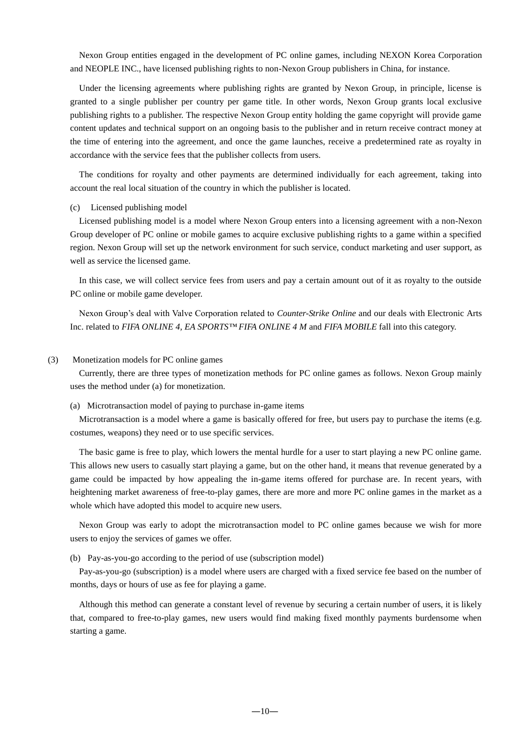Nexon Group entities engaged in the development of PC online games, including NEXON Korea Corporation and NEOPLE INC., have licensed publishing rights to non-Nexon Group publishers in China, for instance.

Under the licensing agreements where publishing rights are granted by Nexon Group, in principle, license is granted to a single publisher per country per game title. In other words, Nexon Group grants local exclusive publishing rights to a publisher. The respective Nexon Group entity holding the game copyright will provide game content updates and technical support on an ongoing basis to the publisher and in return receive contract money at the time of entering into the agreement, and once the game launches, receive a predetermined rate as royalty in accordance with the service fees that the publisher collects from users.

The conditions for royalty and other payments are determined individually for each agreement, taking into account the real local situation of the country in which the publisher is located.

#### (c) Licensed publishing model

Licensed publishing model is a model where Nexon Group enters into a licensing agreement with a non-Nexon Group developer of PC online or mobile games to acquire exclusive publishing rights to a game within a specified region. Nexon Group will set up the network environment for such service, conduct marketing and user support, as well as service the licensed game.

In this case, we will collect service fees from users and pay a certain amount out of it as royalty to the outside PC online or mobile game developer.

Nexon Group's deal with Valve Corporation related to *Counter-Strike Online* and our deals with Electronic Arts Inc. related to *FIFA ONLINE 4, EA SPORTS™ FIFA ONLINE 4 M* and *FIFA MOBILE* fall into this category.

#### (3) Monetization models for PC online games

Currently, there are three types of monetization methods for PC online games as follows. Nexon Group mainly uses the method under (a) for monetization.

#### (a) Microtransaction model of paying to purchase in-game items

Microtransaction is a model where a game is basically offered for free, but users pay to purchase the items (e.g. costumes, weapons) they need or to use specific services.

The basic game is free to play, which lowers the mental hurdle for a user to start playing a new PC online game. This allows new users to casually start playing a game, but on the other hand, it means that revenue generated by a game could be impacted by how appealing the in-game items offered for purchase are. In recent years, with heightening market awareness of free-to-play games, there are more and more PC online games in the market as a whole which have adopted this model to acquire new users.

Nexon Group was early to adopt the microtransaction model to PC online games because we wish for more users to enjoy the services of games we offer.

#### (b) Pay-as-you-go according to the period of use (subscription model)

Pay-as-you-go (subscription) is a model where users are charged with a fixed service fee based on the number of months, days or hours of use as fee for playing a game.

Although this method can generate a constant level of revenue by securing a certain number of users, it is likely that, compared to free-to-play games, new users would find making fixed monthly payments burdensome when starting a game.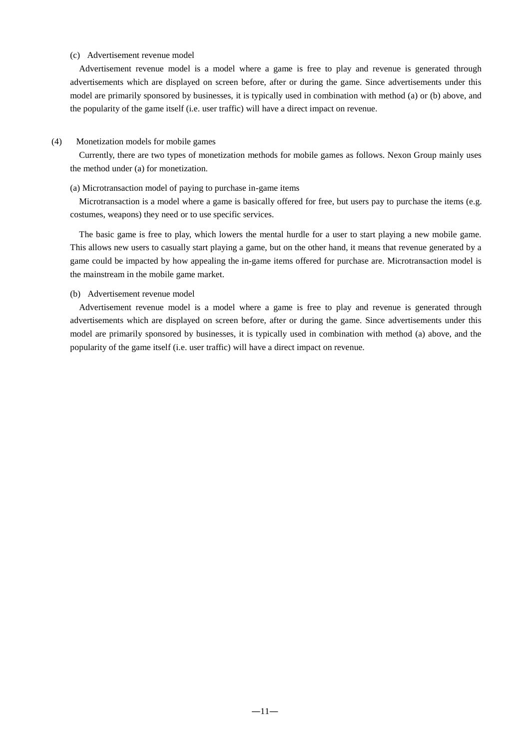#### (c) Advertisement revenue model

Advertisement revenue model is a model where a game is free to play and revenue is generated through advertisements which are displayed on screen before, after or during the game. Since advertisements under this model are primarily sponsored by businesses, it is typically used in combination with method (a) or (b) above, and the popularity of the game itself (i.e. user traffic) will have a direct impact on revenue.

#### (4) Monetization models for mobile games

Currently, there are two types of monetization methods for mobile games as follows. Nexon Group mainly uses the method under (a) for monetization.

#### (a) Microtransaction model of paying to purchase in-game items

Microtransaction is a model where a game is basically offered for free, but users pay to purchase the items (e.g. costumes, weapons) they need or to use specific services.

The basic game is free to play, which lowers the mental hurdle for a user to start playing a new mobile game. This allows new users to casually start playing a game, but on the other hand, it means that revenue generated by a game could be impacted by how appealing the in-game items offered for purchase are. Microtransaction model is the mainstream in the mobile game market.

#### (b) Advertisement revenue model

Advertisement revenue model is a model where a game is free to play and revenue is generated through advertisements which are displayed on screen before, after or during the game. Since advertisements under this model are primarily sponsored by businesses, it is typically used in combination with method (a) above, and the popularity of the game itself (i.e. user traffic) will have a direct impact on revenue.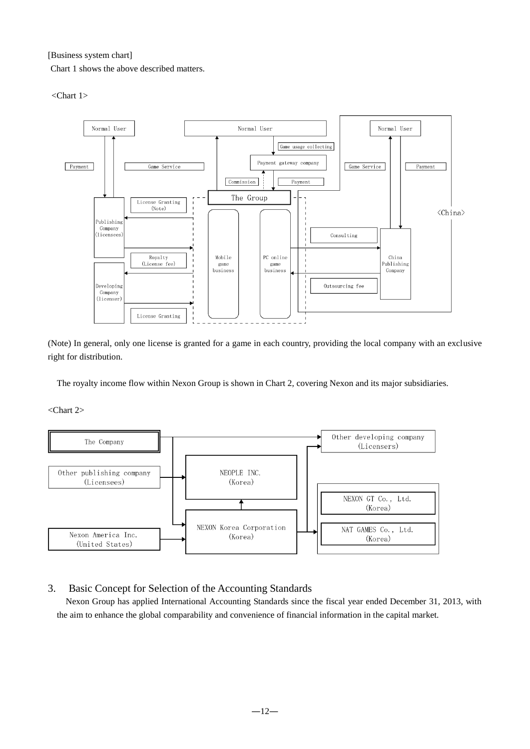[Business system chart]

Chart 1 shows the above described matters.

<Chart 1>



(Note) In general, only one license is granted for a game in each country, providing the local company with an exclusive right for distribution.

The royalty income flow within Nexon Group is shown in Chart 2, covering Nexon and its major subsidiaries.

<Chart 2>



# 3. Basic Concept for Selection of the Accounting Standards

Nexon Group has applied International Accounting Standards since the fiscal year ended December 31, 2013, with the aim to enhance the global comparability and convenience of financial information in the capital market.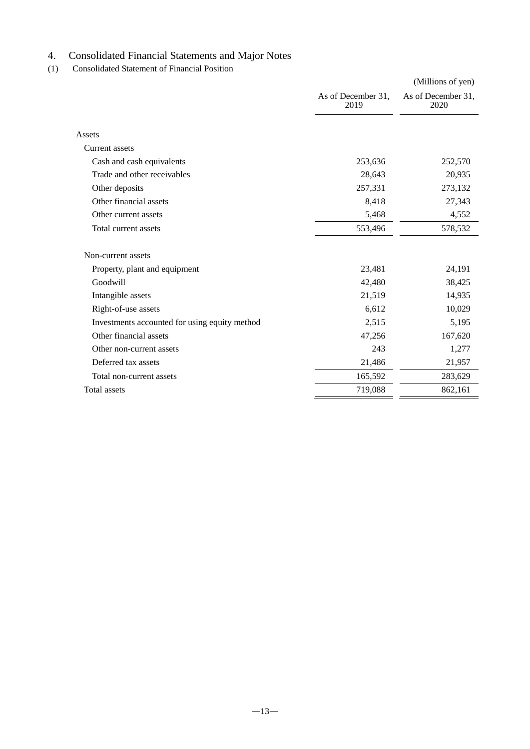# 4. Consolidated Financial Statements and Major Notes

(1) Consolidated Statement of Financial Position

|                                               |                            | (Millions of yen)          |
|-----------------------------------------------|----------------------------|----------------------------|
|                                               | As of December 31,<br>2019 | As of December 31,<br>2020 |
|                                               |                            |                            |
| Assets                                        |                            |                            |
| Current assets                                |                            |                            |
| Cash and cash equivalents                     | 253,636                    | 252,570                    |
| Trade and other receivables                   | 28,643                     | 20,935                     |
| Other deposits                                | 257,331                    | 273,132                    |
| Other financial assets                        | 8,418                      | 27,343                     |
| Other current assets                          | 5,468                      | 4,552                      |
| Total current assets                          | 553,496                    | 578,532                    |
| Non-current assets                            |                            |                            |
| Property, plant and equipment                 | 23,481                     | 24,191                     |
| Goodwill                                      | 42,480                     | 38,425                     |
| Intangible assets                             | 21,519                     | 14,935                     |
| Right-of-use assets                           | 6,612                      | 10,029                     |
| Investments accounted for using equity method | 2,515                      | 5,195                      |
| Other financial assets                        | 47,256                     | 167,620                    |
| Other non-current assets                      | 243                        | 1,277                      |
| Deferred tax assets                           | 21,486                     | 21,957                     |
| Total non-current assets                      | 165,592                    | 283,629                    |
| <b>Total assets</b>                           | 719,088                    | 862,161                    |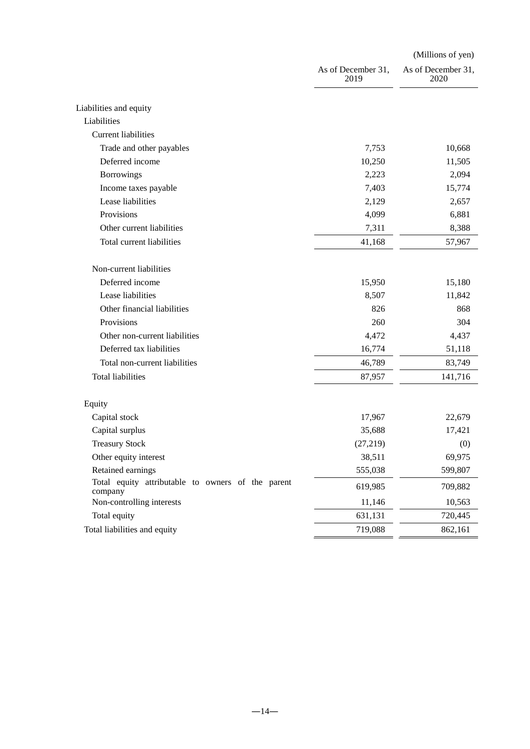|                                                              |                            | (Millions of yen)          |
|--------------------------------------------------------------|----------------------------|----------------------------|
|                                                              | As of December 31,<br>2019 | As of December 31,<br>2020 |
| Liabilities and equity                                       |                            |                            |
| Liabilities                                                  |                            |                            |
| <b>Current liabilities</b>                                   |                            |                            |
| Trade and other payables                                     | 7,753                      | 10,668                     |
| Deferred income                                              | 10,250                     | 11,505                     |
| <b>Borrowings</b>                                            | 2,223                      | 2,094                      |
| Income taxes payable                                         | 7,403                      | 15,774                     |
| Lease liabilities                                            | 2,129                      | 2,657                      |
| Provisions                                                   | 4,099                      | 6,881                      |
| Other current liabilities                                    | 7,311                      | 8,388                      |
| Total current liabilities                                    | 41,168                     | 57,967                     |
| Non-current liabilities                                      |                            |                            |
| Deferred income                                              | 15,950                     | 15,180                     |
| Lease liabilities                                            | 8,507                      | 11,842                     |
| Other financial liabilities                                  | 826                        | 868                        |
| Provisions                                                   | 260                        | 304                        |
| Other non-current liabilities                                | 4,472                      | 4,437                      |
| Deferred tax liabilities                                     | 16,774                     | 51,118                     |
| Total non-current liabilities                                | 46,789                     | 83,749                     |
| <b>Total liabilities</b>                                     | 87,957                     | 141,716                    |
| Equity                                                       |                            |                            |
| Capital stock                                                | 17,967                     | 22,679                     |
| Capital surplus                                              | 35,688                     | 17,421                     |
| <b>Treasury Stock</b>                                        | (27, 219)                  | (0)                        |
| Other equity interest                                        | 38,511                     | 69,975                     |
| Retained earnings                                            | 555,038                    | 599,807                    |
| Total equity attributable to owners of the parent<br>company | 619,985                    | 709,882                    |
| Non-controlling interests                                    | 11,146                     | 10,563                     |
| Total equity                                                 | 631,131                    | 720,445                    |
| Total liabilities and equity                                 | 719,088                    | 862,161                    |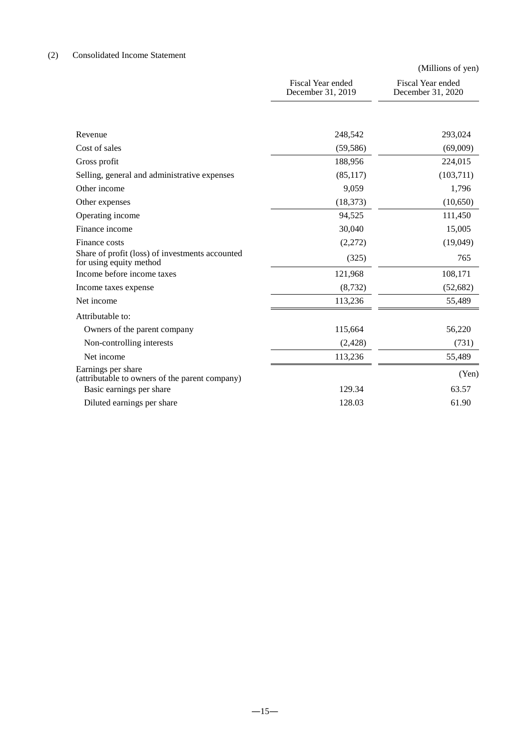# (2) Consolidated Income Statement

|                                                                            |                                        | (Millions of yen)                      |
|----------------------------------------------------------------------------|----------------------------------------|----------------------------------------|
|                                                                            | Fiscal Year ended<br>December 31, 2019 | Fiscal Year ended<br>December 31, 2020 |
|                                                                            |                                        |                                        |
| Revenue                                                                    | 248,542                                | 293,024                                |
| Cost of sales                                                              | (59, 586)                              | (69,009)                               |
| Gross profit                                                               | 188,956                                | 224,015                                |
| Selling, general and administrative expenses                               | (85, 117)                              | (103,711)                              |
| Other income                                                               | 9,059                                  | 1,796                                  |
| Other expenses                                                             | (18, 373)                              | (10,650)                               |
| Operating income                                                           | 94,525                                 | 111,450                                |
| Finance income                                                             | 30,040                                 | 15,005                                 |
| Finance costs                                                              | (2,272)                                | (19,049)                               |
| Share of profit (loss) of investments accounted<br>for using equity method | (325)                                  | 765                                    |
| Income before income taxes                                                 | 121,968                                | 108,171                                |
| Income taxes expense                                                       | (8, 732)                               | (52, 682)                              |
| Net income                                                                 | 113,236                                | 55,489                                 |
| Attributable to:                                                           |                                        |                                        |
| Owners of the parent company                                               | 115,664                                | 56,220                                 |
| Non-controlling interests                                                  | (2, 428)                               | (731)                                  |
| Net income                                                                 | 113,236                                | 55,489                                 |
| Earnings per share<br>(attributable to owners of the parent company)       |                                        | (Yen)                                  |
| Basic earnings per share                                                   | 129.34                                 | 63.57                                  |
| Diluted earnings per share                                                 | 128.03                                 | 61.90                                  |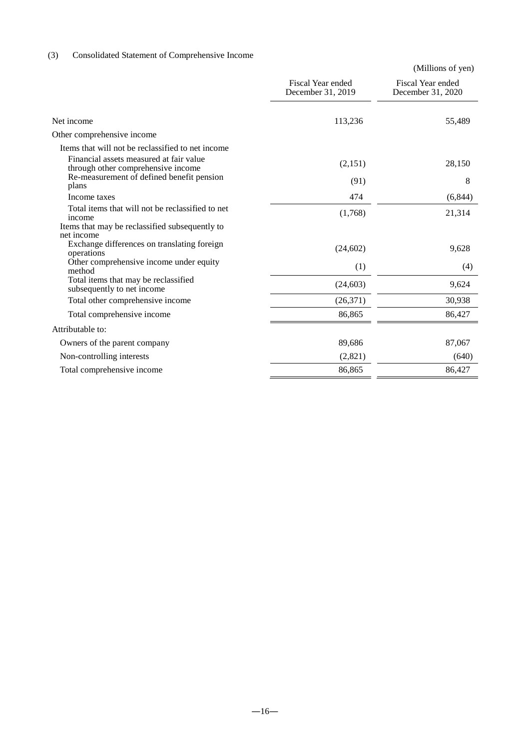# (3) Consolidated Statement of Comprehensive Income

|                                                                               |                                        | (Millions of yen)                      |  |  |
|-------------------------------------------------------------------------------|----------------------------------------|----------------------------------------|--|--|
|                                                                               | Fiscal Year ended<br>December 31, 2019 | Fiscal Year ended<br>December 31, 2020 |  |  |
| Net income                                                                    | 113,236                                | 55,489                                 |  |  |
| Other comprehensive income                                                    |                                        |                                        |  |  |
| Items that will not be reclassified to net income                             |                                        |                                        |  |  |
| Financial assets measured at fair value<br>through other comprehensive income | (2,151)                                | 28,150                                 |  |  |
| Re-measurement of defined benefit pension<br>plans                            | (91)                                   | 8                                      |  |  |
| Income taxes                                                                  | 474                                    | (6, 844)                               |  |  |
| Total items that will not be reclassified to net<br>income                    | (1,768)                                | 21,314                                 |  |  |
| Items that may be reclassified subsequently to                                |                                        |                                        |  |  |
| net income<br>Exchange differences on translating foreign<br>operations       | (24, 602)                              | 9,628                                  |  |  |
| Other comprehensive income under equity<br>method                             | (1)                                    | (4)                                    |  |  |
| Total items that may be reclassified<br>subsequently to net income            | (24, 603)                              | 9,624                                  |  |  |
| Total other comprehensive income                                              | (26,371)                               | 30,938                                 |  |  |
| Total comprehensive income                                                    | 86,865                                 | 86,427                                 |  |  |
| Attributable to:                                                              |                                        |                                        |  |  |
| Owners of the parent company                                                  | 89,686                                 | 87,067                                 |  |  |
| Non-controlling interests                                                     | (2,821)                                | (640)                                  |  |  |
| Total comprehensive income                                                    | 86,865                                 | 86,427                                 |  |  |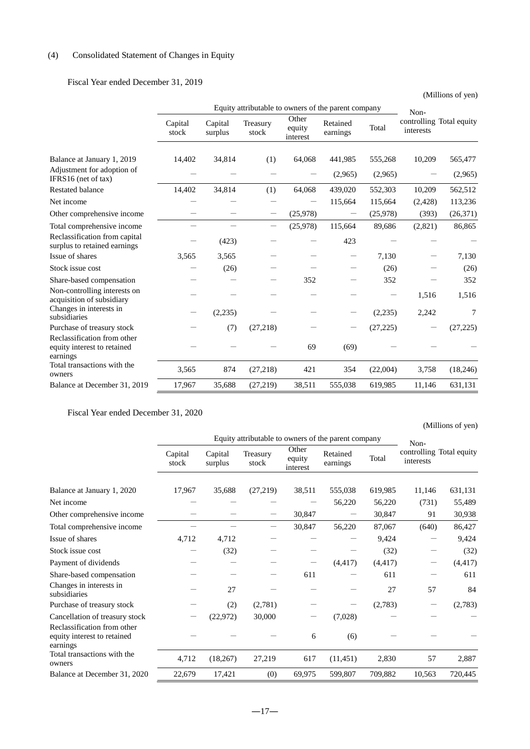# (4) Consolidated Statement of Changes in Equity

# Fiscal Year ended December 31, 2019

|                                                                        |                  |                    |                   |                             | Equity attributable to owners of the parent company |                    | Non-      | controlling Total equity |
|------------------------------------------------------------------------|------------------|--------------------|-------------------|-----------------------------|-----------------------------------------------------|--------------------|-----------|--------------------------|
|                                                                        | Capital<br>stock | Capital<br>surplus | Treasury<br>stock | Other<br>equity<br>interest | Retained<br>earnings                                | Total              | interests |                          |
| Balance at January 1, 2019<br>Adjustment for adoption of               | 14,402           | 34,814             | (1)               | 64,068                      | 441,985<br>(2,965)                                  | 555,268<br>(2,965) | 10,209    | 565,477<br>(2,965)       |
| IFRS16 (net of tax)                                                    |                  |                    |                   |                             |                                                     |                    |           |                          |
| <b>Restated balance</b>                                                | 14,402           | 34,814             | (1)               | 64,068                      | 439,020                                             | 552,303            | 10,209    | 562,512                  |
| Net income                                                             |                  |                    |                   |                             | 115,664                                             | 115,664            | (2,428)   | 113,236                  |
| Other comprehensive income                                             |                  |                    |                   | (25,978)                    |                                                     | (25,978)           | (393)     | (26,371)                 |
| Total comprehensive income                                             |                  |                    |                   | (25,978)                    | 115,664                                             | 89,686             | (2,821)   | 86,865                   |
| Reclassification from capital<br>surplus to retained earnings          |                  | (423)              |                   |                             | 423                                                 |                    |           |                          |
| Issue of shares                                                        | 3,565            | 3,565              |                   |                             |                                                     | 7,130              |           | 7,130                    |
| Stock issue cost                                                       |                  | (26)               |                   |                             |                                                     | (26)               |           | (26)                     |
| Share-based compensation                                               |                  |                    |                   | 352                         |                                                     | 352                |           | 352                      |
| Non-controlling interests on<br>acquisition of subsidiary              |                  |                    |                   |                             |                                                     |                    | 1,516     | 1,516                    |
| Changes in interests in<br>subsidiaries                                |                  | (2,235)            |                   |                             |                                                     | (2,235)            | 2,242     | 7                        |
| Purchase of treasury stock                                             |                  | (7)                | (27,218)          |                             |                                                     | (27, 225)          |           | (27, 225)                |
| Reclassification from other<br>equity interest to retained<br>earnings |                  |                    |                   | 69                          | (69)                                                |                    |           |                          |
| Total transactions with the<br>owners                                  | 3,565            | 874                | (27, 218)         | 421                         | 354                                                 | (22,004)           | 3,758     | (18, 246)                |
| Balance at December 31, 2019                                           | 17,967           | 35,688             | (27,219)          | 38,511                      | 555,038                                             | 619,985            | 11,146    | 631,131                  |

Fiscal Year ended December 31, 2020

# (Millions of yen)

|                                                                        | Equity attributable to owners of the parent company |                    |                   |                             |                      |          |                   |                          |
|------------------------------------------------------------------------|-----------------------------------------------------|--------------------|-------------------|-----------------------------|----------------------|----------|-------------------|--------------------------|
|                                                                        | Capital<br>stock                                    | Capital<br>surplus | Treasury<br>stock | Other<br>equity<br>interest | Retained<br>earnings | Total    | Non-<br>interests | controlling Total equity |
|                                                                        |                                                     |                    |                   |                             |                      |          |                   |                          |
| Balance at January 1, 2020                                             | 17,967                                              | 35,688             | (27,219)          | 38,511                      | 555,038              | 619,985  | 11,146            | 631,131                  |
| Net income                                                             |                                                     |                    |                   |                             | 56,220               | 56,220   | (731)             | 55,489                   |
| Other comprehensive income                                             |                                                     |                    |                   | 30,847                      |                      | 30,847   | 91                | 30,938                   |
| Total comprehensive income                                             |                                                     |                    |                   | 30,847                      | 56,220               | 87,067   | (640)             | 86,427                   |
| Issue of shares                                                        | 4,712                                               | 4,712              |                   |                             |                      | 9,424    |                   | 9,424                    |
| Stock issue cost                                                       |                                                     | (32)               |                   |                             |                      | (32)     |                   | (32)                     |
| Payment of dividends                                                   |                                                     |                    |                   |                             | (4, 417)             | (4, 417) |                   | (4, 417)                 |
| Share-based compensation                                               |                                                     |                    |                   | 611                         |                      | 611      |                   | 611                      |
| Changes in interests in<br>subsidiaries                                |                                                     | 27                 |                   |                             |                      | 27       | 57                | 84                       |
| Purchase of treasury stock                                             |                                                     | (2)                | (2,781)           |                             |                      | (2,783)  |                   | (2,783)                  |
| Cancellation of treasury stock                                         |                                                     | (22, 972)          | 30,000            |                             | (7,028)              |          |                   |                          |
| Reclassification from other<br>equity interest to retained<br>earnings |                                                     |                    |                   | 6                           | (6)                  |          |                   |                          |
| Total transactions with the<br>owners                                  | 4,712                                               | (18,267)           | 27,219            | 617                         | (11, 451)            | 2,830    | 57                | 2,887                    |
| Balance at December 31, 2020                                           | 22,679                                              | 17,421             | (0)               | 69,975                      | 599,807              | 709,882  | 10,563            | 720,445                  |

(Millions of yen)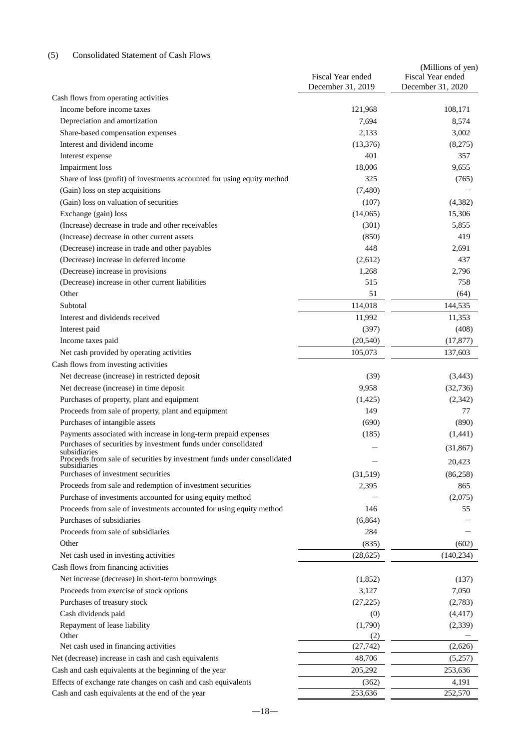# (5) Consolidated Statement of Cash Flows

| December 31, 2020<br>December 31, 2019<br>Cash flows from operating activities<br>Income before income taxes<br>121,968<br>108,171<br>Depreciation and amortization<br>7,694<br>8,574<br>Share-based compensation expenses<br>2,133<br>3,002<br>Interest and dividend income<br>(13,376)<br>(8,275)<br>401<br>357<br>Interest expense<br><b>Impairment</b> loss<br>18,006<br>9,655<br>Share of loss (profit) of investments accounted for using equity method<br>325<br>(765)<br>(Gain) loss on step acquisitions<br>(7,480)<br>(Gain) loss on valuation of securities<br>(107)<br>(4, 382)<br>Exchange (gain) loss<br>(14,065)<br>15,306<br>(Increase) decrease in trade and other receivables<br>(301)<br>5,855<br>(Increase) decrease in other current assets<br>419<br>(850)<br>(Decrease) increase in trade and other payables<br>448<br>2,691<br>(Decrease) increase in deferred income<br>(2,612)<br>437<br>(Decrease) increase in provisions<br>1,268<br>2,796<br>(Decrease) increase in other current liabilities<br>515<br>758<br>51<br>Other<br>(64)<br>Subtotal<br>114,018<br>144,535<br>Interest and dividends received<br>11,992<br>11,353<br>Interest paid<br>(397)<br>(408)<br>Income taxes paid<br>(20, 540)<br>(17, 877)<br>Net cash provided by operating activities<br>105,073<br>137,603<br>Cash flows from investing activities<br>Net decrease (increase) in restricted deposit<br>(39)<br>(3, 443)<br>Net decrease (increase) in time deposit<br>9,958<br>(32,736)<br>Purchases of property, plant and equipment<br>(2, 342)<br>(1,425)<br>Proceeds from sale of property, plant and equipment<br>149<br>77<br>Purchases of intangible assets<br>(690)<br>(890)<br>Payments associated with increase in long-term prepaid expenses<br>(185)<br>(1,441)<br>Purchases of securities by investment funds under consolidated<br>(31, 867)<br>subsidiaries<br>Proceeds from sale of securities by investment funds under consolidated<br>20,423<br>subsidiaries<br>Purchases of investment securities<br>(31,519)<br>(86,258)<br>Proceeds from sale and redemption of investment securities<br>865<br>2,395<br>Purchase of investments accounted for using equity method<br>(2,075)<br>Proceeds from sale of investments accounted for using equity method<br>146<br>55<br>Purchases of subsidiaries<br>(6,864)<br>Proceeds from sale of subsidiaries<br>284<br>Other<br>(835)<br>(602)<br>Net cash used in investing activities<br>(28, 625)<br>(140, 234)<br>Cash flows from financing activities<br>Net increase (decrease) in short-term borrowings<br>(1,852)<br>(137)<br>Proceeds from exercise of stock options<br>3,127<br>7,050<br>Purchases of treasury stock<br>(27, 225)<br>(2,783)<br>Cash dividends paid<br>(4, 417)<br>(0)<br>Repayment of lease liability<br>(1,790)<br>(2,339)<br>Other<br>(2)<br>Net cash used in financing activities<br>(27, 742)<br>(2,626)<br>Net (decrease) increase in cash and cash equivalents<br>48,706<br>(5,257)<br>Cash and cash equivalents at the beginning of the year<br>205,292<br>253,636<br>Effects of exchange rate changes on cash and cash equivalents<br>(362)<br>4,191<br>252,570<br>Cash and cash equivalents at the end of the year<br>253,636 | Fiscal Year ended | (Millions of yen)<br>Fiscal Year ended |
|-------------------------------------------------------------------------------------------------------------------------------------------------------------------------------------------------------------------------------------------------------------------------------------------------------------------------------------------------------------------------------------------------------------------------------------------------------------------------------------------------------------------------------------------------------------------------------------------------------------------------------------------------------------------------------------------------------------------------------------------------------------------------------------------------------------------------------------------------------------------------------------------------------------------------------------------------------------------------------------------------------------------------------------------------------------------------------------------------------------------------------------------------------------------------------------------------------------------------------------------------------------------------------------------------------------------------------------------------------------------------------------------------------------------------------------------------------------------------------------------------------------------------------------------------------------------------------------------------------------------------------------------------------------------------------------------------------------------------------------------------------------------------------------------------------------------------------------------------------------------------------------------------------------------------------------------------------------------------------------------------------------------------------------------------------------------------------------------------------------------------------------------------------------------------------------------------------------------------------------------------------------------------------------------------------------------------------------------------------------------------------------------------------------------------------------------------------------------------------------------------------------------------------------------------------------------------------------------------------------------------------------------------------------------------------------------------------------------------------------------------------------------------------------------------------------------------------------------------------------------------------------------------------------------------------------------------------------------------------------------------------------------------------------------------------------------------------------------------------------------------------------------------------------------------------------------------------------------------------|-------------------|----------------------------------------|
|                                                                                                                                                                                                                                                                                                                                                                                                                                                                                                                                                                                                                                                                                                                                                                                                                                                                                                                                                                                                                                                                                                                                                                                                                                                                                                                                                                                                                                                                                                                                                                                                                                                                                                                                                                                                                                                                                                                                                                                                                                                                                                                                                                                                                                                                                                                                                                                                                                                                                                                                                                                                                                                                                                                                                                                                                                                                                                                                                                                                                                                                                                                                                                                                                               |                   |                                        |
|                                                                                                                                                                                                                                                                                                                                                                                                                                                                                                                                                                                                                                                                                                                                                                                                                                                                                                                                                                                                                                                                                                                                                                                                                                                                                                                                                                                                                                                                                                                                                                                                                                                                                                                                                                                                                                                                                                                                                                                                                                                                                                                                                                                                                                                                                                                                                                                                                                                                                                                                                                                                                                                                                                                                                                                                                                                                                                                                                                                                                                                                                                                                                                                                                               |                   |                                        |
|                                                                                                                                                                                                                                                                                                                                                                                                                                                                                                                                                                                                                                                                                                                                                                                                                                                                                                                                                                                                                                                                                                                                                                                                                                                                                                                                                                                                                                                                                                                                                                                                                                                                                                                                                                                                                                                                                                                                                                                                                                                                                                                                                                                                                                                                                                                                                                                                                                                                                                                                                                                                                                                                                                                                                                                                                                                                                                                                                                                                                                                                                                                                                                                                                               |                   |                                        |
|                                                                                                                                                                                                                                                                                                                                                                                                                                                                                                                                                                                                                                                                                                                                                                                                                                                                                                                                                                                                                                                                                                                                                                                                                                                                                                                                                                                                                                                                                                                                                                                                                                                                                                                                                                                                                                                                                                                                                                                                                                                                                                                                                                                                                                                                                                                                                                                                                                                                                                                                                                                                                                                                                                                                                                                                                                                                                                                                                                                                                                                                                                                                                                                                                               |                   |                                        |
|                                                                                                                                                                                                                                                                                                                                                                                                                                                                                                                                                                                                                                                                                                                                                                                                                                                                                                                                                                                                                                                                                                                                                                                                                                                                                                                                                                                                                                                                                                                                                                                                                                                                                                                                                                                                                                                                                                                                                                                                                                                                                                                                                                                                                                                                                                                                                                                                                                                                                                                                                                                                                                                                                                                                                                                                                                                                                                                                                                                                                                                                                                                                                                                                                               |                   |                                        |
|                                                                                                                                                                                                                                                                                                                                                                                                                                                                                                                                                                                                                                                                                                                                                                                                                                                                                                                                                                                                                                                                                                                                                                                                                                                                                                                                                                                                                                                                                                                                                                                                                                                                                                                                                                                                                                                                                                                                                                                                                                                                                                                                                                                                                                                                                                                                                                                                                                                                                                                                                                                                                                                                                                                                                                                                                                                                                                                                                                                                                                                                                                                                                                                                                               |                   |                                        |
|                                                                                                                                                                                                                                                                                                                                                                                                                                                                                                                                                                                                                                                                                                                                                                                                                                                                                                                                                                                                                                                                                                                                                                                                                                                                                                                                                                                                                                                                                                                                                                                                                                                                                                                                                                                                                                                                                                                                                                                                                                                                                                                                                                                                                                                                                                                                                                                                                                                                                                                                                                                                                                                                                                                                                                                                                                                                                                                                                                                                                                                                                                                                                                                                                               |                   |                                        |
|                                                                                                                                                                                                                                                                                                                                                                                                                                                                                                                                                                                                                                                                                                                                                                                                                                                                                                                                                                                                                                                                                                                                                                                                                                                                                                                                                                                                                                                                                                                                                                                                                                                                                                                                                                                                                                                                                                                                                                                                                                                                                                                                                                                                                                                                                                                                                                                                                                                                                                                                                                                                                                                                                                                                                                                                                                                                                                                                                                                                                                                                                                                                                                                                                               |                   |                                        |
|                                                                                                                                                                                                                                                                                                                                                                                                                                                                                                                                                                                                                                                                                                                                                                                                                                                                                                                                                                                                                                                                                                                                                                                                                                                                                                                                                                                                                                                                                                                                                                                                                                                                                                                                                                                                                                                                                                                                                                                                                                                                                                                                                                                                                                                                                                                                                                                                                                                                                                                                                                                                                                                                                                                                                                                                                                                                                                                                                                                                                                                                                                                                                                                                                               |                   |                                        |
|                                                                                                                                                                                                                                                                                                                                                                                                                                                                                                                                                                                                                                                                                                                                                                                                                                                                                                                                                                                                                                                                                                                                                                                                                                                                                                                                                                                                                                                                                                                                                                                                                                                                                                                                                                                                                                                                                                                                                                                                                                                                                                                                                                                                                                                                                                                                                                                                                                                                                                                                                                                                                                                                                                                                                                                                                                                                                                                                                                                                                                                                                                                                                                                                                               |                   |                                        |
|                                                                                                                                                                                                                                                                                                                                                                                                                                                                                                                                                                                                                                                                                                                                                                                                                                                                                                                                                                                                                                                                                                                                                                                                                                                                                                                                                                                                                                                                                                                                                                                                                                                                                                                                                                                                                                                                                                                                                                                                                                                                                                                                                                                                                                                                                                                                                                                                                                                                                                                                                                                                                                                                                                                                                                                                                                                                                                                                                                                                                                                                                                                                                                                                                               |                   |                                        |
|                                                                                                                                                                                                                                                                                                                                                                                                                                                                                                                                                                                                                                                                                                                                                                                                                                                                                                                                                                                                                                                                                                                                                                                                                                                                                                                                                                                                                                                                                                                                                                                                                                                                                                                                                                                                                                                                                                                                                                                                                                                                                                                                                                                                                                                                                                                                                                                                                                                                                                                                                                                                                                                                                                                                                                                                                                                                                                                                                                                                                                                                                                                                                                                                                               |                   |                                        |
|                                                                                                                                                                                                                                                                                                                                                                                                                                                                                                                                                                                                                                                                                                                                                                                                                                                                                                                                                                                                                                                                                                                                                                                                                                                                                                                                                                                                                                                                                                                                                                                                                                                                                                                                                                                                                                                                                                                                                                                                                                                                                                                                                                                                                                                                                                                                                                                                                                                                                                                                                                                                                                                                                                                                                                                                                                                                                                                                                                                                                                                                                                                                                                                                                               |                   |                                        |
|                                                                                                                                                                                                                                                                                                                                                                                                                                                                                                                                                                                                                                                                                                                                                                                                                                                                                                                                                                                                                                                                                                                                                                                                                                                                                                                                                                                                                                                                                                                                                                                                                                                                                                                                                                                                                                                                                                                                                                                                                                                                                                                                                                                                                                                                                                                                                                                                                                                                                                                                                                                                                                                                                                                                                                                                                                                                                                                                                                                                                                                                                                                                                                                                                               |                   |                                        |
|                                                                                                                                                                                                                                                                                                                                                                                                                                                                                                                                                                                                                                                                                                                                                                                                                                                                                                                                                                                                                                                                                                                                                                                                                                                                                                                                                                                                                                                                                                                                                                                                                                                                                                                                                                                                                                                                                                                                                                                                                                                                                                                                                                                                                                                                                                                                                                                                                                                                                                                                                                                                                                                                                                                                                                                                                                                                                                                                                                                                                                                                                                                                                                                                                               |                   |                                        |
|                                                                                                                                                                                                                                                                                                                                                                                                                                                                                                                                                                                                                                                                                                                                                                                                                                                                                                                                                                                                                                                                                                                                                                                                                                                                                                                                                                                                                                                                                                                                                                                                                                                                                                                                                                                                                                                                                                                                                                                                                                                                                                                                                                                                                                                                                                                                                                                                                                                                                                                                                                                                                                                                                                                                                                                                                                                                                                                                                                                                                                                                                                                                                                                                                               |                   |                                        |
|                                                                                                                                                                                                                                                                                                                                                                                                                                                                                                                                                                                                                                                                                                                                                                                                                                                                                                                                                                                                                                                                                                                                                                                                                                                                                                                                                                                                                                                                                                                                                                                                                                                                                                                                                                                                                                                                                                                                                                                                                                                                                                                                                                                                                                                                                                                                                                                                                                                                                                                                                                                                                                                                                                                                                                                                                                                                                                                                                                                                                                                                                                                                                                                                                               |                   |                                        |
|                                                                                                                                                                                                                                                                                                                                                                                                                                                                                                                                                                                                                                                                                                                                                                                                                                                                                                                                                                                                                                                                                                                                                                                                                                                                                                                                                                                                                                                                                                                                                                                                                                                                                                                                                                                                                                                                                                                                                                                                                                                                                                                                                                                                                                                                                                                                                                                                                                                                                                                                                                                                                                                                                                                                                                                                                                                                                                                                                                                                                                                                                                                                                                                                                               |                   |                                        |
|                                                                                                                                                                                                                                                                                                                                                                                                                                                                                                                                                                                                                                                                                                                                                                                                                                                                                                                                                                                                                                                                                                                                                                                                                                                                                                                                                                                                                                                                                                                                                                                                                                                                                                                                                                                                                                                                                                                                                                                                                                                                                                                                                                                                                                                                                                                                                                                                                                                                                                                                                                                                                                                                                                                                                                                                                                                                                                                                                                                                                                                                                                                                                                                                                               |                   |                                        |
|                                                                                                                                                                                                                                                                                                                                                                                                                                                                                                                                                                                                                                                                                                                                                                                                                                                                                                                                                                                                                                                                                                                                                                                                                                                                                                                                                                                                                                                                                                                                                                                                                                                                                                                                                                                                                                                                                                                                                                                                                                                                                                                                                                                                                                                                                                                                                                                                                                                                                                                                                                                                                                                                                                                                                                                                                                                                                                                                                                                                                                                                                                                                                                                                                               |                   |                                        |
|                                                                                                                                                                                                                                                                                                                                                                                                                                                                                                                                                                                                                                                                                                                                                                                                                                                                                                                                                                                                                                                                                                                                                                                                                                                                                                                                                                                                                                                                                                                                                                                                                                                                                                                                                                                                                                                                                                                                                                                                                                                                                                                                                                                                                                                                                                                                                                                                                                                                                                                                                                                                                                                                                                                                                                                                                                                                                                                                                                                                                                                                                                                                                                                                                               |                   |                                        |
|                                                                                                                                                                                                                                                                                                                                                                                                                                                                                                                                                                                                                                                                                                                                                                                                                                                                                                                                                                                                                                                                                                                                                                                                                                                                                                                                                                                                                                                                                                                                                                                                                                                                                                                                                                                                                                                                                                                                                                                                                                                                                                                                                                                                                                                                                                                                                                                                                                                                                                                                                                                                                                                                                                                                                                                                                                                                                                                                                                                                                                                                                                                                                                                                                               |                   |                                        |
|                                                                                                                                                                                                                                                                                                                                                                                                                                                                                                                                                                                                                                                                                                                                                                                                                                                                                                                                                                                                                                                                                                                                                                                                                                                                                                                                                                                                                                                                                                                                                                                                                                                                                                                                                                                                                                                                                                                                                                                                                                                                                                                                                                                                                                                                                                                                                                                                                                                                                                                                                                                                                                                                                                                                                                                                                                                                                                                                                                                                                                                                                                                                                                                                                               |                   |                                        |
|                                                                                                                                                                                                                                                                                                                                                                                                                                                                                                                                                                                                                                                                                                                                                                                                                                                                                                                                                                                                                                                                                                                                                                                                                                                                                                                                                                                                                                                                                                                                                                                                                                                                                                                                                                                                                                                                                                                                                                                                                                                                                                                                                                                                                                                                                                                                                                                                                                                                                                                                                                                                                                                                                                                                                                                                                                                                                                                                                                                                                                                                                                                                                                                                                               |                   |                                        |
|                                                                                                                                                                                                                                                                                                                                                                                                                                                                                                                                                                                                                                                                                                                                                                                                                                                                                                                                                                                                                                                                                                                                                                                                                                                                                                                                                                                                                                                                                                                                                                                                                                                                                                                                                                                                                                                                                                                                                                                                                                                                                                                                                                                                                                                                                                                                                                                                                                                                                                                                                                                                                                                                                                                                                                                                                                                                                                                                                                                                                                                                                                                                                                                                                               |                   |                                        |
|                                                                                                                                                                                                                                                                                                                                                                                                                                                                                                                                                                                                                                                                                                                                                                                                                                                                                                                                                                                                                                                                                                                                                                                                                                                                                                                                                                                                                                                                                                                                                                                                                                                                                                                                                                                                                                                                                                                                                                                                                                                                                                                                                                                                                                                                                                                                                                                                                                                                                                                                                                                                                                                                                                                                                                                                                                                                                                                                                                                                                                                                                                                                                                                                                               |                   |                                        |
|                                                                                                                                                                                                                                                                                                                                                                                                                                                                                                                                                                                                                                                                                                                                                                                                                                                                                                                                                                                                                                                                                                                                                                                                                                                                                                                                                                                                                                                                                                                                                                                                                                                                                                                                                                                                                                                                                                                                                                                                                                                                                                                                                                                                                                                                                                                                                                                                                                                                                                                                                                                                                                                                                                                                                                                                                                                                                                                                                                                                                                                                                                                                                                                                                               |                   |                                        |
|                                                                                                                                                                                                                                                                                                                                                                                                                                                                                                                                                                                                                                                                                                                                                                                                                                                                                                                                                                                                                                                                                                                                                                                                                                                                                                                                                                                                                                                                                                                                                                                                                                                                                                                                                                                                                                                                                                                                                                                                                                                                                                                                                                                                                                                                                                                                                                                                                                                                                                                                                                                                                                                                                                                                                                                                                                                                                                                                                                                                                                                                                                                                                                                                                               |                   |                                        |
|                                                                                                                                                                                                                                                                                                                                                                                                                                                                                                                                                                                                                                                                                                                                                                                                                                                                                                                                                                                                                                                                                                                                                                                                                                                                                                                                                                                                                                                                                                                                                                                                                                                                                                                                                                                                                                                                                                                                                                                                                                                                                                                                                                                                                                                                                                                                                                                                                                                                                                                                                                                                                                                                                                                                                                                                                                                                                                                                                                                                                                                                                                                                                                                                                               |                   |                                        |
|                                                                                                                                                                                                                                                                                                                                                                                                                                                                                                                                                                                                                                                                                                                                                                                                                                                                                                                                                                                                                                                                                                                                                                                                                                                                                                                                                                                                                                                                                                                                                                                                                                                                                                                                                                                                                                                                                                                                                                                                                                                                                                                                                                                                                                                                                                                                                                                                                                                                                                                                                                                                                                                                                                                                                                                                                                                                                                                                                                                                                                                                                                                                                                                                                               |                   |                                        |
|                                                                                                                                                                                                                                                                                                                                                                                                                                                                                                                                                                                                                                                                                                                                                                                                                                                                                                                                                                                                                                                                                                                                                                                                                                                                                                                                                                                                                                                                                                                                                                                                                                                                                                                                                                                                                                                                                                                                                                                                                                                                                                                                                                                                                                                                                                                                                                                                                                                                                                                                                                                                                                                                                                                                                                                                                                                                                                                                                                                                                                                                                                                                                                                                                               |                   |                                        |
|                                                                                                                                                                                                                                                                                                                                                                                                                                                                                                                                                                                                                                                                                                                                                                                                                                                                                                                                                                                                                                                                                                                                                                                                                                                                                                                                                                                                                                                                                                                                                                                                                                                                                                                                                                                                                                                                                                                                                                                                                                                                                                                                                                                                                                                                                                                                                                                                                                                                                                                                                                                                                                                                                                                                                                                                                                                                                                                                                                                                                                                                                                                                                                                                                               |                   |                                        |
|                                                                                                                                                                                                                                                                                                                                                                                                                                                                                                                                                                                                                                                                                                                                                                                                                                                                                                                                                                                                                                                                                                                                                                                                                                                                                                                                                                                                                                                                                                                                                                                                                                                                                                                                                                                                                                                                                                                                                                                                                                                                                                                                                                                                                                                                                                                                                                                                                                                                                                                                                                                                                                                                                                                                                                                                                                                                                                                                                                                                                                                                                                                                                                                                                               |                   |                                        |
|                                                                                                                                                                                                                                                                                                                                                                                                                                                                                                                                                                                                                                                                                                                                                                                                                                                                                                                                                                                                                                                                                                                                                                                                                                                                                                                                                                                                                                                                                                                                                                                                                                                                                                                                                                                                                                                                                                                                                                                                                                                                                                                                                                                                                                                                                                                                                                                                                                                                                                                                                                                                                                                                                                                                                                                                                                                                                                                                                                                                                                                                                                                                                                                                                               |                   |                                        |
|                                                                                                                                                                                                                                                                                                                                                                                                                                                                                                                                                                                                                                                                                                                                                                                                                                                                                                                                                                                                                                                                                                                                                                                                                                                                                                                                                                                                                                                                                                                                                                                                                                                                                                                                                                                                                                                                                                                                                                                                                                                                                                                                                                                                                                                                                                                                                                                                                                                                                                                                                                                                                                                                                                                                                                                                                                                                                                                                                                                                                                                                                                                                                                                                                               |                   |                                        |
|                                                                                                                                                                                                                                                                                                                                                                                                                                                                                                                                                                                                                                                                                                                                                                                                                                                                                                                                                                                                                                                                                                                                                                                                                                                                                                                                                                                                                                                                                                                                                                                                                                                                                                                                                                                                                                                                                                                                                                                                                                                                                                                                                                                                                                                                                                                                                                                                                                                                                                                                                                                                                                                                                                                                                                                                                                                                                                                                                                                                                                                                                                                                                                                                                               |                   |                                        |
|                                                                                                                                                                                                                                                                                                                                                                                                                                                                                                                                                                                                                                                                                                                                                                                                                                                                                                                                                                                                                                                                                                                                                                                                                                                                                                                                                                                                                                                                                                                                                                                                                                                                                                                                                                                                                                                                                                                                                                                                                                                                                                                                                                                                                                                                                                                                                                                                                                                                                                                                                                                                                                                                                                                                                                                                                                                                                                                                                                                                                                                                                                                                                                                                                               |                   |                                        |
|                                                                                                                                                                                                                                                                                                                                                                                                                                                                                                                                                                                                                                                                                                                                                                                                                                                                                                                                                                                                                                                                                                                                                                                                                                                                                                                                                                                                                                                                                                                                                                                                                                                                                                                                                                                                                                                                                                                                                                                                                                                                                                                                                                                                                                                                                                                                                                                                                                                                                                                                                                                                                                                                                                                                                                                                                                                                                                                                                                                                                                                                                                                                                                                                                               |                   |                                        |
|                                                                                                                                                                                                                                                                                                                                                                                                                                                                                                                                                                                                                                                                                                                                                                                                                                                                                                                                                                                                                                                                                                                                                                                                                                                                                                                                                                                                                                                                                                                                                                                                                                                                                                                                                                                                                                                                                                                                                                                                                                                                                                                                                                                                                                                                                                                                                                                                                                                                                                                                                                                                                                                                                                                                                                                                                                                                                                                                                                                                                                                                                                                                                                                                                               |                   |                                        |
|                                                                                                                                                                                                                                                                                                                                                                                                                                                                                                                                                                                                                                                                                                                                                                                                                                                                                                                                                                                                                                                                                                                                                                                                                                                                                                                                                                                                                                                                                                                                                                                                                                                                                                                                                                                                                                                                                                                                                                                                                                                                                                                                                                                                                                                                                                                                                                                                                                                                                                                                                                                                                                                                                                                                                                                                                                                                                                                                                                                                                                                                                                                                                                                                                               |                   |                                        |
|                                                                                                                                                                                                                                                                                                                                                                                                                                                                                                                                                                                                                                                                                                                                                                                                                                                                                                                                                                                                                                                                                                                                                                                                                                                                                                                                                                                                                                                                                                                                                                                                                                                                                                                                                                                                                                                                                                                                                                                                                                                                                                                                                                                                                                                                                                                                                                                                                                                                                                                                                                                                                                                                                                                                                                                                                                                                                                                                                                                                                                                                                                                                                                                                                               |                   |                                        |
|                                                                                                                                                                                                                                                                                                                                                                                                                                                                                                                                                                                                                                                                                                                                                                                                                                                                                                                                                                                                                                                                                                                                                                                                                                                                                                                                                                                                                                                                                                                                                                                                                                                                                                                                                                                                                                                                                                                                                                                                                                                                                                                                                                                                                                                                                                                                                                                                                                                                                                                                                                                                                                                                                                                                                                                                                                                                                                                                                                                                                                                                                                                                                                                                                               |                   |                                        |
|                                                                                                                                                                                                                                                                                                                                                                                                                                                                                                                                                                                                                                                                                                                                                                                                                                                                                                                                                                                                                                                                                                                                                                                                                                                                                                                                                                                                                                                                                                                                                                                                                                                                                                                                                                                                                                                                                                                                                                                                                                                                                                                                                                                                                                                                                                                                                                                                                                                                                                                                                                                                                                                                                                                                                                                                                                                                                                                                                                                                                                                                                                                                                                                                                               |                   |                                        |
|                                                                                                                                                                                                                                                                                                                                                                                                                                                                                                                                                                                                                                                                                                                                                                                                                                                                                                                                                                                                                                                                                                                                                                                                                                                                                                                                                                                                                                                                                                                                                                                                                                                                                                                                                                                                                                                                                                                                                                                                                                                                                                                                                                                                                                                                                                                                                                                                                                                                                                                                                                                                                                                                                                                                                                                                                                                                                                                                                                                                                                                                                                                                                                                                                               |                   |                                        |
|                                                                                                                                                                                                                                                                                                                                                                                                                                                                                                                                                                                                                                                                                                                                                                                                                                                                                                                                                                                                                                                                                                                                                                                                                                                                                                                                                                                                                                                                                                                                                                                                                                                                                                                                                                                                                                                                                                                                                                                                                                                                                                                                                                                                                                                                                                                                                                                                                                                                                                                                                                                                                                                                                                                                                                                                                                                                                                                                                                                                                                                                                                                                                                                                                               |                   |                                        |
|                                                                                                                                                                                                                                                                                                                                                                                                                                                                                                                                                                                                                                                                                                                                                                                                                                                                                                                                                                                                                                                                                                                                                                                                                                                                                                                                                                                                                                                                                                                                                                                                                                                                                                                                                                                                                                                                                                                                                                                                                                                                                                                                                                                                                                                                                                                                                                                                                                                                                                                                                                                                                                                                                                                                                                                                                                                                                                                                                                                                                                                                                                                                                                                                                               |                   |                                        |
|                                                                                                                                                                                                                                                                                                                                                                                                                                                                                                                                                                                                                                                                                                                                                                                                                                                                                                                                                                                                                                                                                                                                                                                                                                                                                                                                                                                                                                                                                                                                                                                                                                                                                                                                                                                                                                                                                                                                                                                                                                                                                                                                                                                                                                                                                                                                                                                                                                                                                                                                                                                                                                                                                                                                                                                                                                                                                                                                                                                                                                                                                                                                                                                                                               |                   |                                        |
|                                                                                                                                                                                                                                                                                                                                                                                                                                                                                                                                                                                                                                                                                                                                                                                                                                                                                                                                                                                                                                                                                                                                                                                                                                                                                                                                                                                                                                                                                                                                                                                                                                                                                                                                                                                                                                                                                                                                                                                                                                                                                                                                                                                                                                                                                                                                                                                                                                                                                                                                                                                                                                                                                                                                                                                                                                                                                                                                                                                                                                                                                                                                                                                                                               |                   |                                        |
|                                                                                                                                                                                                                                                                                                                                                                                                                                                                                                                                                                                                                                                                                                                                                                                                                                                                                                                                                                                                                                                                                                                                                                                                                                                                                                                                                                                                                                                                                                                                                                                                                                                                                                                                                                                                                                                                                                                                                                                                                                                                                                                                                                                                                                                                                                                                                                                                                                                                                                                                                                                                                                                                                                                                                                                                                                                                                                                                                                                                                                                                                                                                                                                                                               |                   |                                        |
|                                                                                                                                                                                                                                                                                                                                                                                                                                                                                                                                                                                                                                                                                                                                                                                                                                                                                                                                                                                                                                                                                                                                                                                                                                                                                                                                                                                                                                                                                                                                                                                                                                                                                                                                                                                                                                                                                                                                                                                                                                                                                                                                                                                                                                                                                                                                                                                                                                                                                                                                                                                                                                                                                                                                                                                                                                                                                                                                                                                                                                                                                                                                                                                                                               |                   |                                        |
|                                                                                                                                                                                                                                                                                                                                                                                                                                                                                                                                                                                                                                                                                                                                                                                                                                                                                                                                                                                                                                                                                                                                                                                                                                                                                                                                                                                                                                                                                                                                                                                                                                                                                                                                                                                                                                                                                                                                                                                                                                                                                                                                                                                                                                                                                                                                                                                                                                                                                                                                                                                                                                                                                                                                                                                                                                                                                                                                                                                                                                                                                                                                                                                                                               |                   |                                        |
|                                                                                                                                                                                                                                                                                                                                                                                                                                                                                                                                                                                                                                                                                                                                                                                                                                                                                                                                                                                                                                                                                                                                                                                                                                                                                                                                                                                                                                                                                                                                                                                                                                                                                                                                                                                                                                                                                                                                                                                                                                                                                                                                                                                                                                                                                                                                                                                                                                                                                                                                                                                                                                                                                                                                                                                                                                                                                                                                                                                                                                                                                                                                                                                                                               |                   |                                        |
|                                                                                                                                                                                                                                                                                                                                                                                                                                                                                                                                                                                                                                                                                                                                                                                                                                                                                                                                                                                                                                                                                                                                                                                                                                                                                                                                                                                                                                                                                                                                                                                                                                                                                                                                                                                                                                                                                                                                                                                                                                                                                                                                                                                                                                                                                                                                                                                                                                                                                                                                                                                                                                                                                                                                                                                                                                                                                                                                                                                                                                                                                                                                                                                                                               |                   |                                        |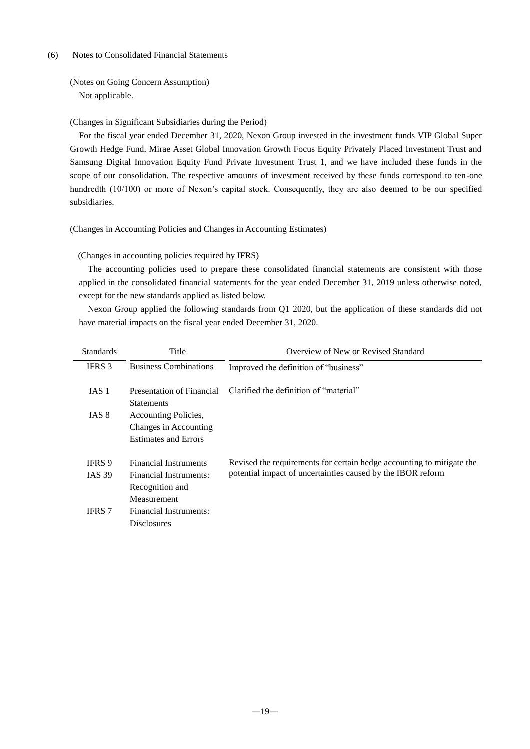#### (6) Notes to Consolidated Financial Statements

(Notes on Going Concern Assumption) Not applicable.

(Changes in Significant Subsidiaries during the Period)

For the fiscal year ended December 31, 2020, Nexon Group invested in the investment funds VIP Global Super Growth Hedge Fund, Mirae Asset Global Innovation Growth Focus Equity Privately Placed Investment Trust and Samsung Digital Innovation Equity Fund Private Investment Trust 1, and we have included these funds in the scope of our consolidation. The respective amounts of investment received by these funds correspond to ten-one hundredth (10/100) or more of Nexon's capital stock. Consequently, they are also deemed to be our specified subsidiaries.

(Changes in Accounting Policies and Changes in Accounting Estimates)

(Changes in accounting policies required by IFRS)

The accounting policies used to prepare these consolidated financial statements are consistent with those applied in the consolidated financial statements for the year ended December 31, 2019 unless otherwise noted, except for the new standards applied as listed below.

Nexon Group applied the following standards from Q1 2020, but the application of these standards did not have material impacts on the fiscal year ended December 31, 2020.

| <b>Standards</b> | Title                                                                        | Overview of New or Revised Standard                                   |
|------------------|------------------------------------------------------------------------------|-----------------------------------------------------------------------|
| <b>IFRS</b> 3    | <b>Business Combinations</b>                                                 | Improved the definition of "business"                                 |
| IAS 1            | Presentation of Financial<br><b>Statements</b>                               | Clarified the definition of "material"                                |
| IAS 8            | Accounting Policies,<br>Changes in Accounting<br><b>Estimates and Errors</b> |                                                                       |
| <b>IFRS</b> 9    | <b>Financial Instruments</b>                                                 | Revised the requirements for certain hedge accounting to mitigate the |
| <b>IAS 39</b>    | <b>Financial Instruments:</b><br>Recognition and<br><b>Measurement</b>       | potential impact of uncertainties caused by the IBOR reform           |
| <b>IFRS 7</b>    | Financial Instruments:<br><b>Disclosures</b>                                 |                                                                       |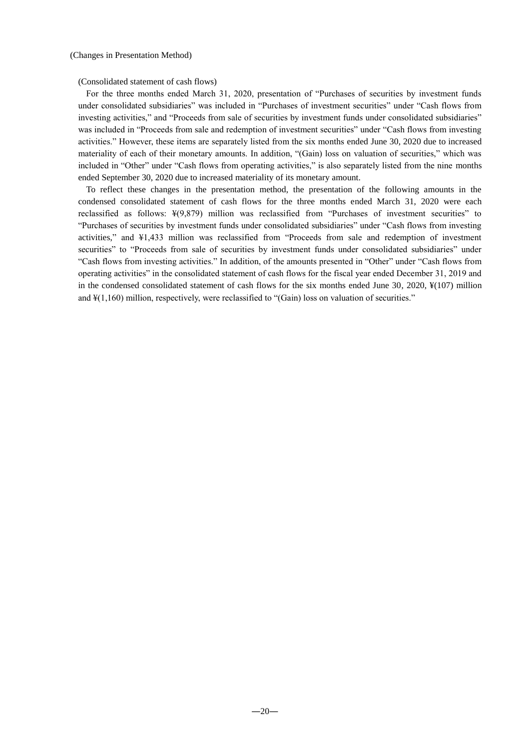(Consolidated statement of cash flows)

For the three months ended March 31, 2020, presentation of "Purchases of securities by investment funds under consolidated subsidiaries" was included in "Purchases of investment securities" under "Cash flows from investing activities," and "Proceeds from sale of securities by investment funds under consolidated subsidiaries" was included in "Proceeds from sale and redemption of investment securities" under "Cash flows from investing activities." However, these items are separately listed from the six months ended June 30, 2020 due to increased materiality of each of their monetary amounts. In addition, "(Gain) loss on valuation of securities," which was included in "Other" under "Cash flows from operating activities," is also separately listed from the nine months ended September 30, 2020 due to increased materiality of its monetary amount.

To reflect these changes in the presentation method, the presentation of the following amounts in the condensed consolidated statement of cash flows for the three months ended March 31, 2020 were each reclassified as follows: ¥(9,879) million was reclassified from "Purchases of investment securities" to "Purchases of securities by investment funds under consolidated subsidiaries" under "Cash flows from investing activities," and ¥1,433 million was reclassified from "Proceeds from sale and redemption of investment securities" to "Proceeds from sale of securities by investment funds under consolidated subsidiaries" under "Cash flows from investing activities." In addition, of the amounts presented in "Other" under "Cash flows from operating activities" in the consolidated statement of cash flows for the fiscal year ended December 31, 2019 and in the condensed consolidated statement of cash flows for the six months ended June 30, 2020, ¥(107) million and ¥(1,160) million, respectively, were reclassified to "(Gain) loss on valuation of securities."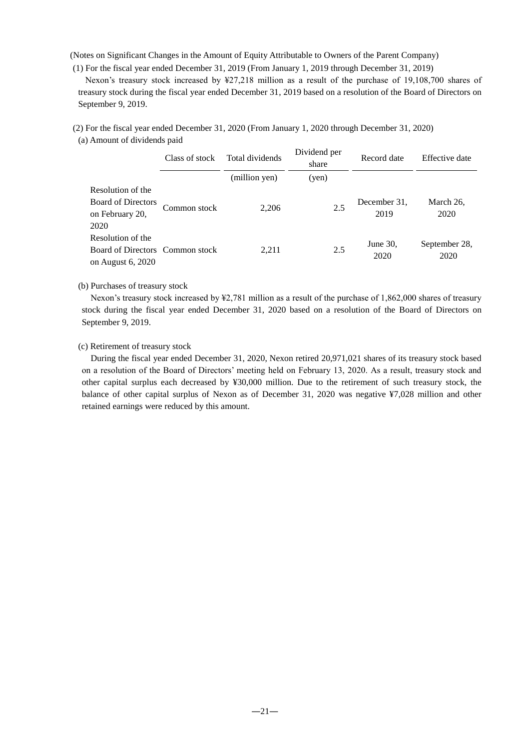(Notes on Significant Changes in the Amount of Equity Attributable to Owners of the Parent Company)

(1) For the fiscal year ended December 31, 2019 (From January 1, 2019 through December 31, 2019)

Nexon's treasury stock increased by ¥27,218 million as a result of the purchase of 19,108,700 shares of treasury stock during the fiscal year ended December 31, 2019 based on a resolution of the Board of Directors on September 9, 2019.

(2) For the fiscal year ended December 31, 2020 (From January 1, 2020 through December 31, 2020)

<sup>(</sup>a) Amount of dividends paid

|                                                                           | Class of stock | Total dividends | Dividend per<br>share | Record date          | Effective date        |
|---------------------------------------------------------------------------|----------------|-----------------|-----------------------|----------------------|-----------------------|
|                                                                           |                | (million yen)   | (yen)                 |                      |                       |
| Resolution of the                                                         |                |                 |                       |                      |                       |
| <b>Board of Directors</b><br>on February 20,<br>2020                      | Common stock   | 2,206           | 2.5                   | December 31,<br>2019 | March 26,<br>2020     |
| Resolution of the<br>Board of Directors Common stock<br>on August 6, 2020 |                | 2.211           | 2.5                   | June $30$ ,<br>2020  | September 28,<br>2020 |

## (b) Purchases of treasury stock

Nexon's treasury stock increased by ¥2,781 million as a result of the purchase of 1,862,000 shares of treasury stock during the fiscal year ended December 31, 2020 based on a resolution of the Board of Directors on September 9, 2019.

## (c) Retirement of treasury stock

During the fiscal year ended December 31, 2020, Nexon retired 20,971,021 shares of its treasury stock based on a resolution of the Board of Directors' meeting held on February 13, 2020. As a result, treasury stock and other capital surplus each decreased by ¥30,000 million. Due to the retirement of such treasury stock, the balance of other capital surplus of Nexon as of December 31, 2020 was negative ¥7,028 million and other retained earnings were reduced by this amount.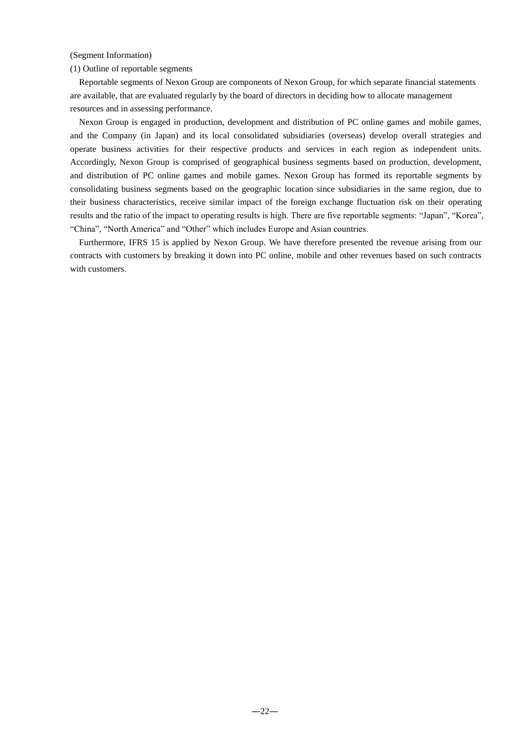## (Segment Information)

### (1) Outline of reportable segments

Reportable segments of Nexon Group are components of Nexon Group, for which separate financial statements are available, that are evaluated regularly by the board of directors in deciding how to allocate management resources and in assessing performance.

Nexon Group is engaged in production, development and distribution of PC online games and mobile games, and the Company (in Japan) and its local consolidated subsidiaries (overseas) develop overall strategies and operate business activities for their respective products and services in each region as independent units. Accordingly, Nexon Group is comprised of geographical business segments based on production, development, and distribution of PC online games and mobile games. Nexon Group has formed its reportable segments by consolidating business segments based on the geographic location since subsidiaries in the same region, due to their business characteristics, receive similar impact of the foreign exchange fluctuation risk on their operating results and the ratio of the impact to operating results is high. There are five reportable segments: "Japan", "Korea", "China", "North America" and "Other" which includes Europe and Asian countries.

Furthermore, IFRS 15 is applied by Nexon Group. We have therefore presented the revenue arising from our contracts with customers by breaking it down into PC online, mobile and other revenues based on such contracts with customers.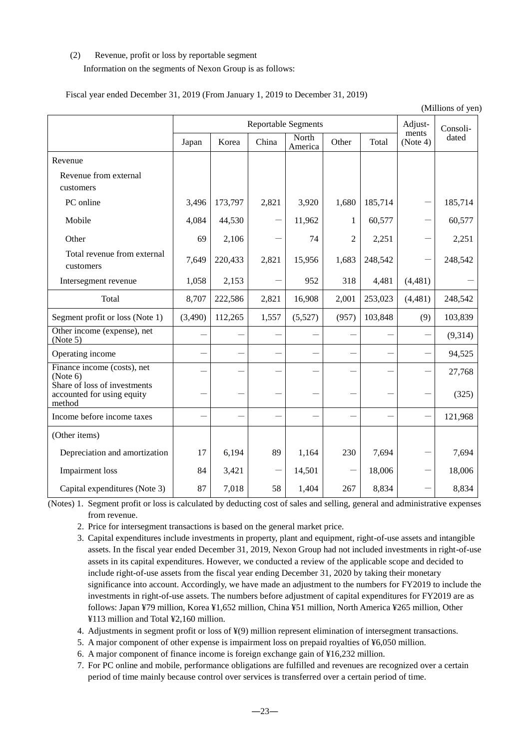# (2) Revenue, profit or loss by reportable segment

# Information on the segments of Nexon Group is as follows:

|                                                                      | (Millions of yen) |         |       |                            |                |         |                   |          |
|----------------------------------------------------------------------|-------------------|---------|-------|----------------------------|----------------|---------|-------------------|----------|
|                                                                      |                   |         |       | <b>Reportable Segments</b> |                |         | Adjust-           | Consoli- |
|                                                                      | Japan             | Korea   | China | North<br>America           | Other          | Total   | ments<br>(Note 4) | dated    |
| Revenue                                                              |                   |         |       |                            |                |         |                   |          |
| Revenue from external<br>customers                                   |                   |         |       |                            |                |         |                   |          |
| PC online                                                            | 3,496             | 173,797 | 2,821 | 3,920                      | 1,680          | 185,714 |                   | 185,714  |
| Mobile                                                               | 4,084             | 44,530  |       | 11,962                     | 1              | 60,577  |                   | 60,577   |
| Other                                                                | 69                | 2,106   |       | 74                         | $\overline{2}$ | 2,251   |                   | 2,251    |
| Total revenue from external<br>customers                             | 7,649             | 220,433 | 2,821 | 15,956                     | 1,683          | 248,542 |                   | 248,542  |
| Intersegment revenue                                                 | 1,058             | 2,153   |       | 952                        | 318            | 4,481   | (4, 481)          |          |
| Total                                                                | 8,707             | 222,586 | 2,821 | 16,908                     | 2,001          | 253,023 | (4,481)           | 248,542  |
| Segment profit or loss (Note 1)                                      | (3,490)           | 112,265 | 1,557 | (5,527)                    | (957)          | 103,848 | (9)               | 103,839  |
| Other income (expense), net<br>(Note 5)                              |                   |         |       |                            |                |         |                   | (9,314)  |
| Operating income                                                     |                   |         |       | $\overline{\phantom{0}}$   |                |         |                   | 94,525   |
| Finance income (costs), net<br>(Note 6)                              |                   |         |       |                            |                |         |                   | 27,768   |
| Share of loss of investments<br>accounted for using equity<br>method |                   |         |       | $\overline{\phantom{0}}$   |                |         |                   | (325)    |
| Income before income taxes                                           |                   |         |       |                            |                |         |                   | 121,968  |
| (Other items)                                                        |                   |         |       |                            |                |         |                   |          |
| Depreciation and amortization                                        | 17                | 6,194   | 89    | 1,164                      | 230            | 7,694   |                   | 7,694    |
| <b>Impairment</b> loss                                               | 84                | 3,421   |       | 14,501                     |                | 18,006  |                   | 18,006   |
| Capital expenditures (Note 3)                                        | 87                | 7,018   | 58    | 1,404                      | 267            | 8,834   |                   | 8,834    |

Fiscal year ended December 31, 2019 (From January 1, 2019 to December 31, 2019)

(Notes) 1. Segment profit or loss is calculated by deducting cost of sales and selling, general and administrative expenses from revenue.

- 2. Price for intersegment transactions is based on the general market price.
- 3. Capital expenditures include investments in property, plant and equipment, right-of-use assets and intangible assets. In the fiscal year ended December 31, 2019, Nexon Group had not included investments in right-of-use assets in its capital expenditures. However, we conducted a review of the applicable scope and decided to include right-of-use assets from the fiscal year ending December 31, 2020 by taking their monetary significance into account. Accordingly, we have made an adjustment to the numbers for FY2019 to include the investments in right-of-use assets. The numbers before adjustment of capital expenditures for FY2019 are as follows: Japan ¥79 million, Korea ¥1,652 million, China ¥51 million, North America ¥265 million, Other ¥113 million and Total ¥2,160 million.
- 4. Adjustments in segment profit or loss of ¥(9) million represent elimination of intersegment transactions.
- 5. A major component of other expense is impairment loss on prepaid royalties of ¥6,050 million.
- 6. A major component of finance income is foreign exchange gain of ¥16,232 million.
- 7. For PC online and mobile, performance obligations are fulfilled and revenues are recognized over a certain period of time mainly because control over services is transferred over a certain period of time.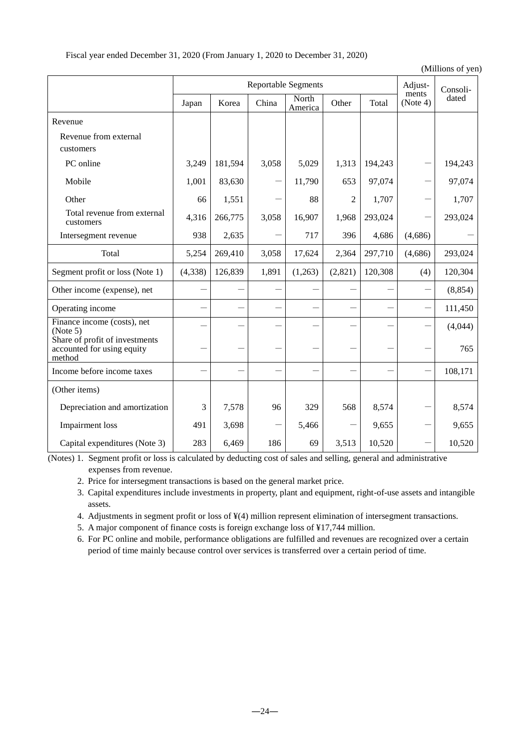Fiscal year ended December 31, 2020 (From January 1, 2020 to December 31, 2020)

(Millions of yen)

|                                                                        |          | <b>Reportable Segments</b> |       |                  |                |         | Adjust-           | Consoli- |
|------------------------------------------------------------------------|----------|----------------------------|-------|------------------|----------------|---------|-------------------|----------|
|                                                                        | Japan    | Korea                      | China | North<br>America | Other          | Total   | ments<br>(Note 4) | dated    |
| Revenue                                                                |          |                            |       |                  |                |         |                   |          |
| Revenue from external<br>customers                                     |          |                            |       |                  |                |         |                   |          |
| PC online                                                              | 3,249    | 181,594                    | 3,058 | 5,029            | 1,313          | 194,243 |                   | 194,243  |
| Mobile                                                                 | 1,001    | 83,630                     |       | 11,790           | 653            | 97,074  |                   | 97,074   |
| Other                                                                  | 66       | 1,551                      |       | 88               | $\overline{2}$ | 1,707   |                   | 1,707    |
| Total revenue from external<br>customers                               | 4,316    | 266,775                    | 3,058 | 16,907           | 1,968          | 293,024 |                   | 293,024  |
| Intersegment revenue                                                   | 938      | 2,635                      |       | 717              | 396            | 4,686   | (4,686)           |          |
| Total                                                                  | 5,254    | 269,410                    | 3,058 | 17,624           | 2,364          | 297,710 | (4,686)           | 293,024  |
| Segment profit or loss (Note 1)                                        | (4, 338) | 126,839                    | 1,891 | (1,263)          | (2,821)        | 120,308 | (4)               | 120,304  |
| Other income (expense), net                                            |          |                            |       |                  |                |         |                   | (8, 854) |
| Operating income                                                       |          |                            |       |                  |                |         |                   | 111,450  |
| Finance income (costs), net<br>(Note 5)                                |          |                            |       |                  |                |         |                   | (4,044)  |
| Share of profit of investments<br>accounted for using equity<br>method |          |                            |       |                  |                |         |                   | 765      |
| Income before income taxes                                             |          |                            |       |                  |                |         |                   | 108,171  |
| (Other items)                                                          |          |                            |       |                  |                |         |                   |          |
| Depreciation and amortization                                          | 3        | 7,578                      | 96    | 329              | 568            | 8,574   |                   | 8,574    |
| <b>Impairment</b> loss                                                 | 491      | 3,698                      |       | 5,466            |                | 9,655   |                   | 9,655    |
| Capital expenditures (Note 3)                                          | 283      | 6,469                      | 186   | 69               | 3,513          | 10,520  |                   | 10,520   |

(Notes) 1. Segment profit or loss is calculated by deducting cost of sales and selling, general and administrative expenses from revenue.

2. Price for intersegment transactions is based on the general market price.

3. Capital expenditures include investments in property, plant and equipment, right-of-use assets and intangible assets.

4. Adjustments in segment profit or loss of ¥(4) million represent elimination of intersegment transactions.

5. A major component of finance costs is foreign exchange loss of ¥17,744 million.

6. For PC online and mobile, performance obligations are fulfilled and revenues are recognized over a certain period of time mainly because control over services is transferred over a certain period of time.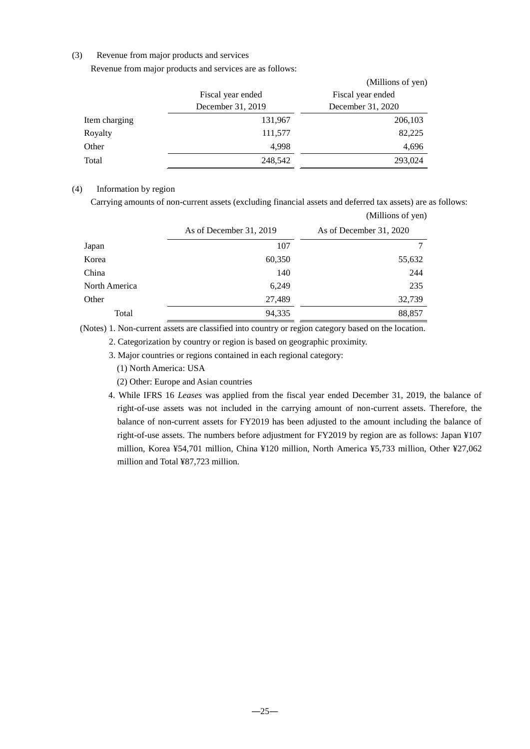## (3) Revenue from major products and services

Revenue from major products and services are as follows:

|               |                   | (Millions of yen) |
|---------------|-------------------|-------------------|
|               | Fiscal year ended | Fiscal year ended |
|               | December 31, 2019 | December 31, 2020 |
| Item charging | 131,967           | 206,103           |
| Royalty       | 111,577           | 82,225            |
| Other         | 4,998             | 4,696             |
| Total         | 248,542           | 293,024           |

## (4) Information by region

Carrying amounts of non-current assets (excluding financial assets and deferred tax assets) are as follows: (Millions of yen)

|               | As of December 31, 2019 | As of December 31, 2020 |
|---------------|-------------------------|-------------------------|
| Japan         | 107                     |                         |
| Korea         | 60,350                  | 55,632                  |
| China         | 140                     | 244                     |
| North America | 6,249                   | 235                     |
| Other         | 27,489                  | 32,739                  |
| Total         | 94,335                  | 88,857                  |

(Notes) 1. Non-current assets are classified into country or region category based on the location.

2. Categorization by country or region is based on geographic proximity.

3. Major countries or regions contained in each regional category:

(1) North America: USA

(2) Other: Europe and Asian countries

4. While IFRS 16 *Leases* was applied from the fiscal year ended December 31, 2019, the balance of right-of-use assets was not included in the carrying amount of non-current assets. Therefore, the balance of non-current assets for FY2019 has been adjusted to the amount including the balance of right-of-use assets. The numbers before adjustment for FY2019 by region are as follows: Japan ¥107 million, Korea ¥54,701 million, China ¥120 million, North America ¥5,733 million, Other ¥27,062 million and Total ¥87,723 million.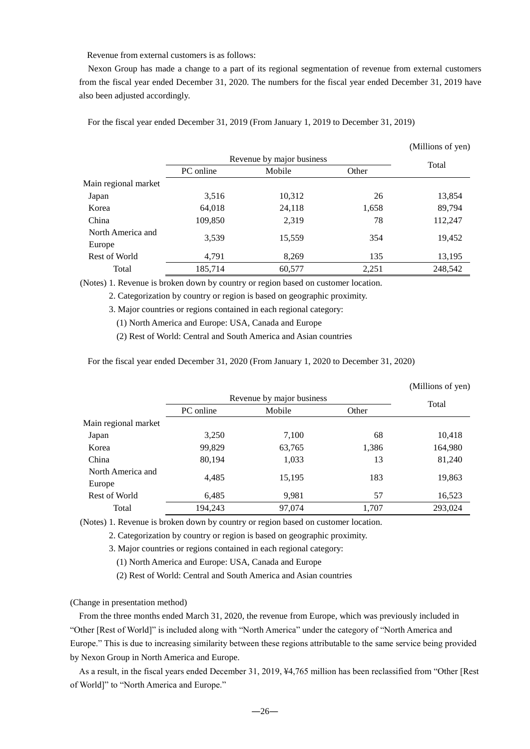Revenue from external customers is as follows:

Nexon Group has made a change to a part of its regional segmentation of revenue from external customers from the fiscal year ended December 31, 2020. The numbers for the fiscal year ended December 31, 2019 have also been adjusted accordingly.

(Millions of yen)

For the fiscal year ended December 31, 2019 (From January 1, 2019 to December 31, 2019)

|                             |           |                           |       | (TATHIOIIS OF ACIT) |
|-----------------------------|-----------|---------------------------|-------|---------------------|
|                             |           | Revenue by major business |       |                     |
|                             | PC online | Mobile                    | Other | Total               |
| Main regional market        |           |                           |       |                     |
| Japan                       | 3,516     | 10,312                    | 26    | 13,854              |
| Korea                       | 64,018    | 24,118                    | 1,658 | 89,794              |
| China                       | 109,850   | 2,319                     | 78    | 112,247             |
| North America and<br>Europe | 3,539     | 15,559                    | 354   | 19,452              |
| Rest of World               | 4,791     | 8,269                     | 135   | 13,195              |
| Total                       | 185,714   | 60,577                    | 2,251 | 248,542             |

(Notes) 1. Revenue is broken down by country or region based on customer location.

2. Categorization by country or region is based on geographic proximity.

3. Major countries or regions contained in each regional category:

(1) North America and Europe: USA, Canada and Europe

(2) Rest of World: Central and South America and Asian countries

For the fiscal year ended December 31, 2020 (From January 1, 2020 to December 31, 2020)

|                      |           |                           |       | (Millions of yen) |
|----------------------|-----------|---------------------------|-------|-------------------|
|                      |           | Revenue by major business |       |                   |
|                      | PC online | Mobile                    | Other | Total             |
| Main regional market |           |                           |       |                   |
| Japan                | 3,250     | 7,100                     | 68    | 10,418            |
| Korea                | 99,829    | 63,765                    | 1,386 | 164,980           |
| China                | 80,194    | 1,033                     | 13    | 81,240            |
| North America and    | 4,485     | 15,195                    | 183   | 19,863            |
| Europe               |           |                           |       |                   |
| Rest of World        | 6,485     | 9,981                     | 57    | 16,523            |
| Total                | 194,243   | 97,074                    | 1,707 | 293,024           |

(Notes) 1. Revenue is broken down by country or region based on customer location.

2. Categorization by country or region is based on geographic proximity.

3. Major countries or regions contained in each regional category:

(1) North America and Europe: USA, Canada and Europe

(2) Rest of World: Central and South America and Asian countries

(Change in presentation method)

From the three months ended March 31, 2020, the revenue from Europe, which was previously included in "Other [Rest of World]" is included along with "North America" under the category of "North America and Europe." This is due to increasing similarity between these regions attributable to the same service being provided by Nexon Group in North America and Europe.

As a result, in the fiscal years ended December 31, 2019, ¥4,765 million has been reclassified from "Other [Rest of World]" to "North America and Europe."